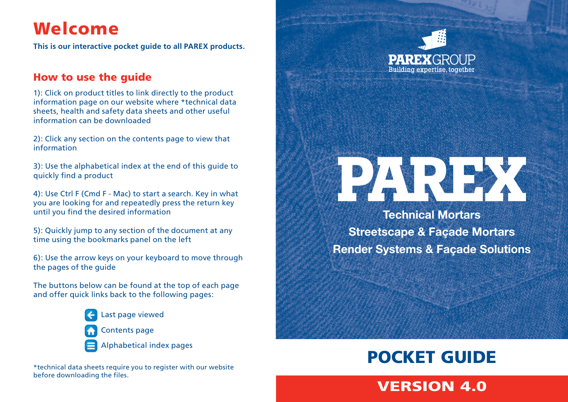## Welcome

**This is our interactive pocket guide to all PAREX products.**

#### How to use the guide

1): Click on product titles to link directly to the product information page on our website where \*technical data sheets, health and safety data sheets and other useful information can be downloaded

2): Click any section on the contents page to view that information

3): Use the alphabetical index at the end of this guide to quickly find a product

4): Use Ctrl F (Cmd F - Mac) to start a search. Key in what you are looking for and repeatedly press the return key until you find the desired information

5): Quickly jump to any section of the document at any time using the bookmarks panel on the left

6): Use the arrow keys on your keyboard to move through the pages of the guide

The buttons below can be found at the top of each page and offer quick links back to the following pages:



Last page viewed Contents page

Alphabetical index pages

\*technical data sheets require you to register with our website before downloading the files.





**Technical Mortars Streetscape & Façade Mortars Render Systems & Façade Solutions**

## POCKET GUIDE

## VERSION 4.0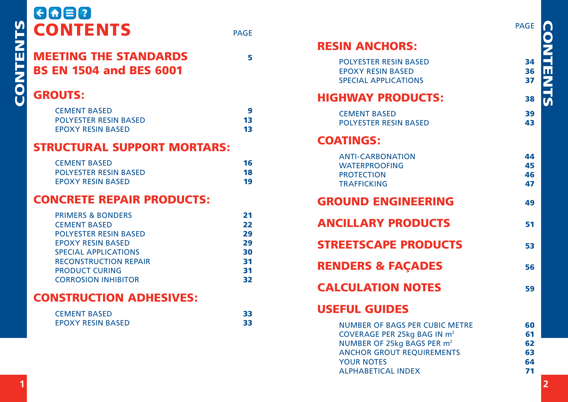| $\Theta$ $\Theta$ $\Xi$ $\Omega$<br><b>CONTENTS</b>                                                                                                                                                                                   | <b>PAGE</b>                                  |  |
|---------------------------------------------------------------------------------------------------------------------------------------------------------------------------------------------------------------------------------------|----------------------------------------------|--|
| <b>MEETING THE STANDARDS</b><br><b>BS EN 1504 and BES 6001</b>                                                                                                                                                                        | 5                                            |  |
| <b>GROUTS:</b>                                                                                                                                                                                                                        |                                              |  |
| <b>CEMENT BASED</b><br><b>POLYESTER RESIN BASED</b><br><b>EPOXY RESIN BASED</b>                                                                                                                                                       | 9<br>13<br>13                                |  |
| <b>STRUCTURAL SUPPORT MORTARS:</b>                                                                                                                                                                                                    |                                              |  |
| <b>CEMENT BASED</b><br><b>POLYESTER RESIN BASED</b><br><b>FPOXY RESIN BASED</b>                                                                                                                                                       | 16<br>18<br>19                               |  |
| <b>CONCRETE REPAIR PRODUCTS:</b>                                                                                                                                                                                                      |                                              |  |
| <b>PRIMERS &amp; BONDERS</b><br><b>CEMENT BASED</b><br><b>POLYESTER RESIN BASED</b><br><b>EPOXY RESIN BASED</b><br><b>SPECIAL APPLICATIONS</b><br><b>RECONSTRUCTION REPAIR</b><br><b>PRODUCT CURING</b><br><b>CORROSION INHIBITOR</b> | 21<br>22<br>29<br>29<br>30<br>31<br>31<br>32 |  |
| <b>CONSTRUCTION ADHESIVES:</b>                                                                                                                                                                                                        |                                              |  |
| <b>CEMENT BASED</b><br><b>EPOXY RESIN BASED</b>                                                                                                                                                                                       | 33<br>33                                     |  |

|                                         | <b>PAGE</b> |                 |
|-----------------------------------------|-------------|-----------------|
| <b>RESIN ANCHORS:</b>                   |             | <b>CONTENTS</b> |
| <b>POLYESTER RESIN BASED</b>            | 34          |                 |
| <b>EPOXY RESIN BASED</b>                | 36          |                 |
| <b>SPECIAL APPLICATIONS</b>             | 37          |                 |
| <b>HIGHWAY PRODUCTS:</b>                | 38          |                 |
| <b>CEMENT BASED</b>                     | 39          |                 |
| <b>POLYESTER RESIN BASED</b>            | 43          |                 |
| <b>COATINGS:</b>                        |             |                 |
| <b>ANTI-CARBONATION</b>                 | 44          |                 |
| <b>WATERPROOFING</b>                    | 45          |                 |
| <b>PROTECTION</b>                       | 46          |                 |
| <b>TRAFFICKING</b>                      | 47          |                 |
| <b>GROUND ENGINEERING</b>               | 49          |                 |
| <b>ANCILLARY PRODUCTS</b>               | 51          |                 |
| <b>STREETSCAPE PRODUCTS</b>             | 53          |                 |
| <b>RENDERS &amp; FAÇADES</b>            | 56          |                 |
| <b>CALCULATION NOTES</b>                | 59          |                 |
| <b>USEFUL GUIDES</b>                    |             |                 |
| <b>NUMBER OF BAGS PER CUBIC METRE</b>   | 60          |                 |
| COVERAGE PER 25kg BAG IN m <sup>2</sup> | 61          |                 |
| NUMBER OF 25kg BAGS PER m <sup>2</sup>  | 62          |                 |
| <b>ANCHOR GROUT REQUIREMENTS</b>        | 63          |                 |
| <b>YOUR NOTES</b>                       | 64          |                 |
| <b>ALPHABETICAL INDEX</b>               | 71          |                 |

CONTENTS CONTENTS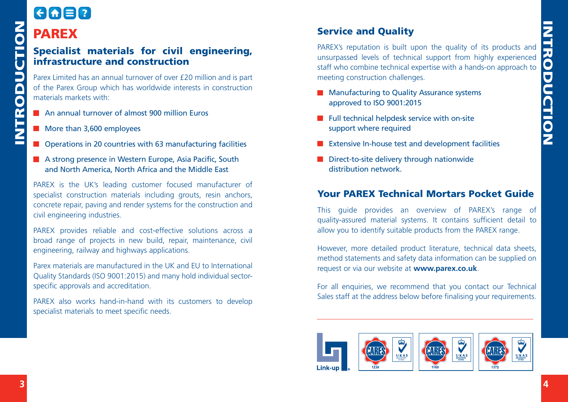## $F = F$ PAREX

## Specialist materials for civil engineering, infrastructure and construction

Parex Limited has an annual turnover of over £20 million and is part of the Parex Group which has worldwide interests in construction materials markets with:

- **An annual turnover of almost 900 million Euros**
- More than 3,600 employees
- Operations in 20 countries with 63 manufacturing facilities
- A strong presence in Western Europe, Asia Pacific, South and North America, North Africa and the Middle East

PAREX is the UK's leading customer focused manufacturer of specialist construction materials including grouts, resin anchors, concrete repair, paving and render systems for the construction and civil engineering industries.

PAREX provides reliable and cost-effective solutions across a broad range of projects in new build, repair, maintenance, civil engineering, railway and highways applications.

Parex materials are manufactured in the UK and EU to International Quality Standards (ISO 9001:2015) and many hold individual sectorspecific approvals and accreditation.

PAREX also works hand-in-hand with its customers to develop specialist materials to meet specific needs.

#### Service and Quality

PAREX's reputation is built upon the quality of its products and unsurpassed levels of technical support from highly experienced staff who combine technical expertise with a hands-on approach to meeting construction challenges.

- **Manufacturing to Quality Assurance systems** approved to ISO 9001:2015
- $\blacksquare$  Full technical helpdesk service with on-site support where required
- **EXTENSIVE IN-house test and development facilities**
- Direct-to-site delivery through nationwide distribution network.

#### Your PAREX Technical Mortars Pocket Guide

This guide provides an overview of PAREX's range of quality-assured material systems. It contains sufficient detail to allow you to identify suitable products from the PAREX range.

However, more detailed product literature, technical data sheets, method statements and safety data information can be supplied on request or via our website at **[www.parex.co.uk](http://www.parex.co.uk)**.

For all enquiries, we recommend that you contact our Technical Sales staff at the address below before finalising your requirements.

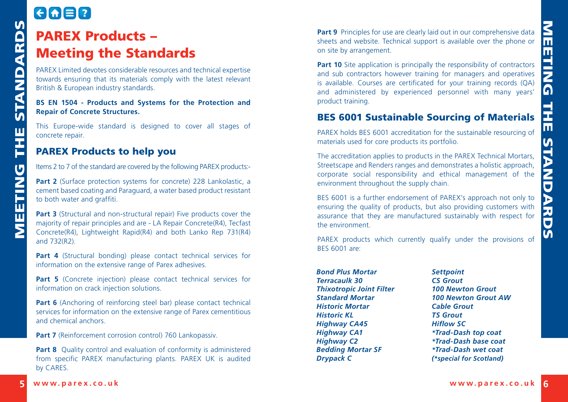## GAER PAREX Products – Meeting the Standards

PAREX Limited devotes considerable resources and technical expertise towards ensuring that its materials comply with the latest relevant British & European industry standards.

#### **BS EN 1504 - Products and Systems for the Protection and Repair of Concrete Structures.**

This Europe-wide standard is designed to cover all stages of concrete repair.

#### PAREX Products to help you

Items 2 to 7 of the standard are covered by the following PAREX products:-

**Part 2** (Surface protection systems for concrete) 228 Lankolastic, a cement based coating and Paraguard, a water based product resistant to both water and graffiti.

**Part 3** (Structural and non-structural repair) Five products cover the majority of repair principles and are - LA Repair Concrete(R4), Tecfast Concrete(R4), Lightweight Rapid(R4) and both Lanko Rep 731(R4) and 732(R2).

Part 4 (Structural bonding) please contact technical services for information on the extensive range of Parex adhesives.

Part 5 (Concrete injection) please contact technical services for information on crack injection solutions.

**Part 6** (Anchoring of reinforcing steel bar) please contact technical services for information on the extensive range of Parex cementitious and chemical anchors.

**Part 7** (Reinforcement corrosion control) 760 Lankopassiv.

**Part 8** Quality control and evaluation of conformity is administered from specific PAREX manufacturing plants. PAREX UK is audited by CARES.

**Part 9** Principles for use are clearly laid out in our comprehensive data sheets and website. Technical support is available over the phone or on site by arrangement.

<span id="page-3-0"></span>**EXERCONDUCTS** - **EXERCONDUCTS** - **EXERCONDUCTS** - **EXERCONDUCTS** - **EXERCONDUCTS** - **EXERCONDUCTS** - **EXERCONDUCTS** - **EXERCONDUCTS** - **EXERCONDUCTS** - **EXERCONDUCTS** - **EXERCONDUCTS** - **EXERCONDUCTS** - **EXERCONDUCTS** - **Part 10** Site application is principally the responsibility of contractors and sub contractors however training for managers and operatives is available. Courses are certificated for your training records (QA) and administered by experienced personnel with many years' product training.

#### BES 6001 Sustainable Sourcing of Materials

PAREX holds BES 6001 accreditation for the sustainable resourcing of materials used for core products its portfolio.

The accreditation applies to products in the PAREX Technical Mortars, Streetscape and Renders ranges and demonstrates a holistic approach, corporate social responsibility and ethical management of the environment throughout the supply chain.

BES 6001 is a further endorsement of PAREX's approach not only to ensuring the quality of products, but also providing customers with assurance that they are manufactured sustainably with respect for the environment.

PAREX products which currently qualify under the provisions of BES 6001 are:

*Bond Plus Mortar Terracaulk 30 Thixotropic Joint Filter Standard Mortar Historic Mortar Historic KL Highway CA45 Highway CA1 Highway C2 Bedding Mortar SF Drypack C*

*Settpoint CS Grout 100 Newton Grout 100 Newton Grout AW Cable Grout TS Grout Hiflow SC \*Trad-Dash top coat \*Trad-Dash base coat \*Trad-Dash wet coat (\*special for Scotland)*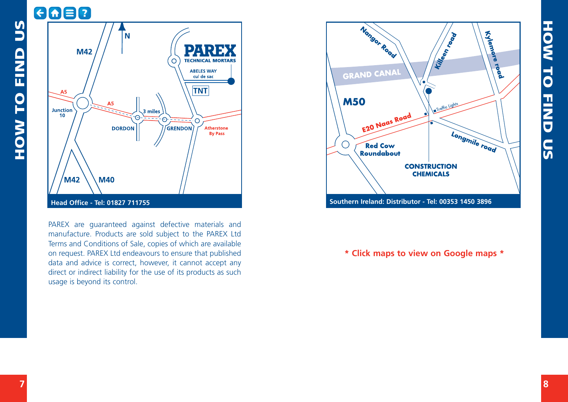

PAREX are guaranteed against defective materials and manufacture. Products are sold subject to the PAREX Ltd Terms and Conditions of Sale, copies of which are available on request. PAREX Ltd endeavours to ensure that published data and advice is correct, however, it cannot accept any direct or indirect liability for the use of its products as such usage is beyond its control.



**\* Click maps to view on Google maps \***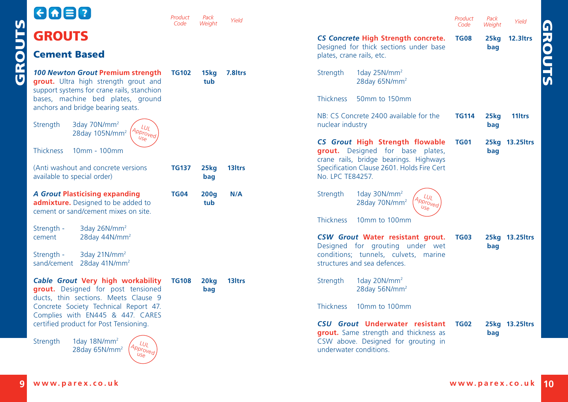<span id="page-5-0"></span>

|        | $\Theta$ $\Theta$ $\Xi$ $\Omega$                                                                                                                                                                  | Product<br>Code | Pack<br>Weiaht          | Yield                                                                                                         |                                                                                                                                                 | Product<br>Code | Pack<br>Weight          | Yield<br><u>ត</u>          |
|--------|---------------------------------------------------------------------------------------------------------------------------------------------------------------------------------------------------|-----------------|-------------------------|---------------------------------------------------------------------------------------------------------------|-------------------------------------------------------------------------------------------------------------------------------------------------|-----------------|-------------------------|----------------------------|
| GROUTS | <b>GROUTS</b>                                                                                                                                                                                     |                 |                         |                                                                                                               | CS Concrete High Strength concrete.<br>Designed for thick sections under base                                                                   | <b>TG08</b>     | 25kg<br>bag             | $\overline{8}$<br>12.3ltrs |
|        | <b>Cement Based</b>                                                                                                                                                                               |                 |                         |                                                                                                               | plates, crane rails, etc.                                                                                                                       |                 |                         |                            |
|        | 100 Newton Grout Premium strength<br>grout. Ultra high strength grout and<br>support systems for crane rails, stanchion<br>bases, machine bed plates, ground<br>anchors and bridge bearing seats. | <b>TG102</b>    | 15kg<br>tub             | 7.8 <sub>ltrs</sub>                                                                                           | 1day $25N/mm^2$<br>Strength<br>28day 65N/mm <sup>2</sup><br><b>Thickness</b><br>50mm to 150mm                                                   |                 |                         |                            |
|        | 3day 70N/mm <sup>2</sup><br>Strength<br>$\iota_{U_L}$<br>Approved<br>28day 105N/mm <sup>2</sup>                                                                                                   |                 |                         |                                                                                                               | NB: CS Concrete 2400 available for the<br>nuclear industry                                                                                      | <b>TG114</b>    | 25 <sub>kq</sub><br>bag | 11 <sub>ltrs</sub>         |
|        | US <sub>0</sub><br>Thickness<br>10mm - 100mm                                                                                                                                                      |                 |                         | CS Grout High Strength flowable<br>grout. Designed for base plates,<br>crane rails, bridge bearings. Highways | <b>TG01</b>                                                                                                                                     | bag             | 25kg 13.25 trs          |                            |
|        | (Anti washout and concrete versions<br>available to special order)                                                                                                                                | <b>TG137</b>    | 25 <sub>kq</sub><br>bag | 13 <sub>ltrs</sub>                                                                                            | Specification Clause 2601. Holds Fire Cert<br>No. LPC TE84257.                                                                                  |                 |                         |                            |
|        | <b>A Grout Plasticising expanding</b><br>admixture. Designed to be added to<br>cement or sand/cement mixes on site.                                                                               | <b>TG04</b>     | 200q<br>tub             | N/A                                                                                                           | 1day 30N/mm <sup>2</sup><br>Strength<br>$L_{U_L}$<br>Approved <sup>1</sup><br>28day 70N/mm <sup>2</sup><br>$u_{\mathcal{S}\mathcal{C}}$         |                 |                         |                            |
|        | 3day 26N/mm <sup>2</sup><br>Strength -                                                                                                                                                            |                 |                         |                                                                                                               | <b>Thickness</b><br>10mm to 100mm                                                                                                               |                 |                         |                            |
|        | 28day 44N/mm <sup>2</sup><br>cement                                                                                                                                                               |                 |                         |                                                                                                               | CSW Grout Water resistant grout.<br>Designed for grouting under wet                                                                             | <b>TG03</b>     | bag                     | 25kg 13.25ltrs             |
|        | 3day 21N/mm <sup>2</sup><br>Strength -<br>sand/cement 28day 41N/mm <sup>2</sup>                                                                                                                   |                 |                         |                                                                                                               | conditions; tunnels, culvets, marine<br>structures and sea defences.                                                                            |                 |                         |                            |
|        | Cable Grout Very high workability<br>grout. Designed for post tensioned<br>ducts, thin sections. Meets Clause 9                                                                                   | <b>TG108</b>    | 20 <sub>kq</sub><br>bag | 13 <sub>ltrs</sub>                                                                                            | 1day $20N/mm^2$<br>Strength<br>28day 56N/mm <sup>2</sup>                                                                                        |                 |                         |                            |
|        | Concrete Society Technical Report 47.<br>Complies with EN445 & 447. CARES                                                                                                                         |                 |                         |                                                                                                               | <b>Thickness</b><br>10mm to 100mm                                                                                                               |                 |                         |                            |
|        | certified product for Post Tensioning.<br>1day $18N/mm^2$<br>Strength<br>LUL<br>$A_{\text{Pbro\tilde{v}_{\text{eq}}}}$<br>28day 65N/mm <sup>2</sup><br>$US_{\Theta}$                              |                 |                         |                                                                                                               | <b>CSU Grout Underwater resistant</b><br>grout. Same strength and thickness as<br>CSW above. Designed for grouting in<br>underwater conditions. | <b>TG02</b>     | bag                     | 25kg 13.25 trs             |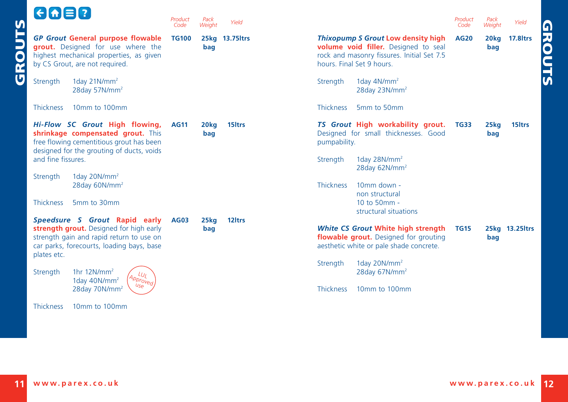<span id="page-6-0"></span>

| $G \cup G$                                                                                                                                                                             | Product<br>Code | Pack<br>Weight          | Yield              | Product<br>Pack<br>Yield<br>Weight<br>Code                                                                                                                                                                              |
|----------------------------------------------------------------------------------------------------------------------------------------------------------------------------------------|-----------------|-------------------------|--------------------|-------------------------------------------------------------------------------------------------------------------------------------------------------------------------------------------------------------------------|
| <b>SLN</b><br><b>GP Grout General purpose flowable</b><br><b>grout.</b> Designed for use where the<br>GRO<br>highest mechanical properties, as given<br>by CS Grout, are not required. | <b>TG100</b>    | bag                     | 25kg 13.75 ltrs    | Thixopump S Grout Low density high<br>17.8 <sub>ltrs</sub><br><b>AG20</b><br>20 <sub>kg</sub><br>volume void filler. Designed to seal<br>bag<br>rock and masonry fissures. Initial Set 7.5<br>hours. Final Set 9 hours. |
| 1day $21$ N/mm <sup>2</sup><br>Strength<br>28day 57N/mm <sup>2</sup>                                                                                                                   |                 |                         |                    | 1day $4N/mm^2$<br>Strength<br>28day 23N/mm <sup>2</sup>                                                                                                                                                                 |
| <b>Thickness</b><br>10mm to 100mm                                                                                                                                                      |                 |                         |                    | <b>Thickness</b><br>5mm to 50mm                                                                                                                                                                                         |
| Hi-Flow SC Grout High flowing,<br>shrinkage compensated grout. This<br>free flowing cementitious grout has been<br>designed for the grouting of ducts, voids                           | <b>AG11</b>     | 20 <sub>kg</sub><br>bag | 15 <sub>ltrs</sub> | TS Grout High workability grout.<br><b>TG33</b><br>15 <sub>ltrs</sub><br>25 <sub>kq</sub><br>Designed for small thicknesses. Good<br>bag<br>pumpability.                                                                |
| and fine fissures.                                                                                                                                                                     |                 |                         |                    | 1day 28N/mm <sup>2</sup><br>Strength<br>28day 62N/mm <sup>2</sup>                                                                                                                                                       |
| 1day 20N/ $mm2$<br>Strength<br>28day 60N/mm <sup>2</sup>                                                                                                                               |                 |                         |                    | <b>Thickness</b><br>10mm down -<br>non structural                                                                                                                                                                       |
| <b>Thickness</b><br>5mm to 30mm                                                                                                                                                        |                 |                         |                    | 10 to 50mm -<br>structural situations                                                                                                                                                                                   |
| Speedsure S Grout Rapid early<br>strength grout. Designed for high early<br>strength gain and rapid return to use on<br>car parks, forecourts, loading bays, base<br>plates etc.       | <b>AG03</b>     | 25kg<br>bag             | 12 <sub>ltrs</sub> | White CS Grout White high strength<br><b>TG15</b><br>25kg 13.25ltrs<br>flowable grout. Designed for grouting<br>bag<br>aesthetic white or pale shade concrete.                                                          |
| 1hr $12N/mm^2$<br>Strength<br>LUI<br>$A$ <sub>pproved</sub><br>1day 40N/mm <sup>2</sup><br>$U_{\mathcal{S}\Theta}$                                                                     |                 |                         |                    | 1day 20N/mm <sup>2</sup><br>Strength<br>28day 67N/mm <sup>2</sup><br>10mm to 100mm                                                                                                                                      |
| 28day 70N/mm <sup>2</sup><br>10mm to 100mm<br><b>Thickness</b>                                                                                                                         |                 |                         |                    | <b>Thickness</b>                                                                                                                                                                                                        |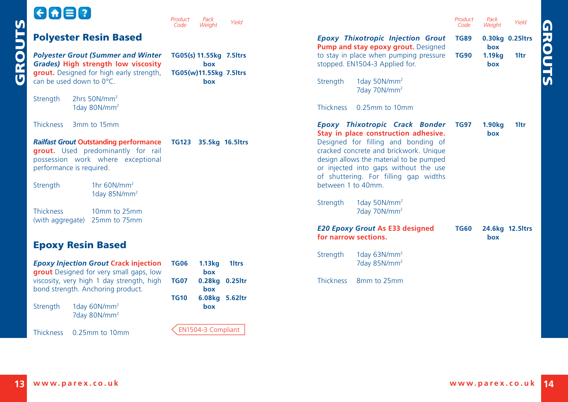<span id="page-7-0"></span>

| $\mathsf{M}$           | $G \cap B$                                                                                                                                                                                                           | Product<br>Pack<br>Weight<br>Code                                     | Yield             | Product<br>Pack<br>Yield<br>Code<br>Weight                                                                                                                                                                                                  |  |
|------------------------|----------------------------------------------------------------------------------------------------------------------------------------------------------------------------------------------------------------------|-----------------------------------------------------------------------|-------------------|---------------------------------------------------------------------------------------------------------------------------------------------------------------------------------------------------------------------------------------------|--|
|                        | <b>Polyester Resin Based</b>                                                                                                                                                                                         |                                                                       |                   | <b>Epoxy Thixotropic Injection Grout</b><br>0.30kg 0.25ltrs<br><b>TG89</b><br>Pump and stay epoxy grout. Designed<br>box                                                                                                                    |  |
| $\bullet$<br><b>CE</b> | <b>Polyester Grout (Summer and Winter</b><br>Grades) High strength low viscosity<br>grout. Designed for high early strength,<br>can be used down to 0°C.<br>2hrs 50N/mm <sup>2</sup><br>Strength<br>1day 80 $N/mm^2$ | TG05(s) 11.55kg 7.5ltrs<br>box<br>TG05(w)11.55kg 7.5ltrs<br>box       |                   | to stay in place when pumping pressure<br>1.19 <sub>kg</sub><br><b>TG90</b><br>1 <sub>ltr</sub><br>stopped. EN1504-3 Applied for.<br>box<br>1day 50N/mm <sup>2</sup><br>Strength<br>7day 70N/mm <sup>2</sup><br>Thickness<br>0.25mm to 10mm |  |
|                        | <b>Thickness</b><br>3mm to 15mm                                                                                                                                                                                      |                                                                       |                   | Epoxy Thixotropic Crack Bonder<br>1.90 <sub>kg</sub><br>1 <sub>ltr</sub><br><b>TG97</b><br>Stay in place construction adhesive.<br>box                                                                                                      |  |
|                        | <b>Railfast Grout Outstanding performance</b><br>grout. Used predominantly for rail<br>possession work where exceptional<br>performance is required.                                                                 | TG123 35.5kg 16.5ltrs                                                 |                   | Designed for filling and bonding of<br>cracked concrete and brickwork. Unique<br>design allows the material to be pumped<br>or injected into gaps without the use<br>of shuttering. For filling gap widths                                  |  |
|                        | Strength<br>1hr $60N/mm^2$<br>1day 85N/ $mm2$                                                                                                                                                                        |                                                                       |                   | between 1 to 40mm.                                                                                                                                                                                                                          |  |
|                        | <b>Thickness</b><br>10mm to 25mm<br>25mm to 75mm<br>(with aggregate)                                                                                                                                                 |                                                                       |                   | 1day 50N/mm <sup>2</sup><br>Strength<br>7day 70N/mm <sup>2</sup>                                                                                                                                                                            |  |
|                        |                                                                                                                                                                                                                      |                                                                       |                   | <b>E20 Epoxy Grout As E33 designed</b><br><b>TG60</b><br>24.6kg 12.5ltrs<br>for narrow sections.<br>box                                                                                                                                     |  |
|                        | <b>Epoxy Resin Based</b>                                                                                                                                                                                             |                                                                       |                   |                                                                                                                                                                                                                                             |  |
|                        | <b>Epoxy Injection Grout Crack injection</b><br>grout Designed for very small gaps, low                                                                                                                              | <b>TG06</b><br>1.13 <sub>kq</sub><br>box                              | 1 <sub>ltrs</sub> | 1day $63N/mm^2$<br>Strength<br>7day 85N/mm <sup>2</sup>                                                                                                                                                                                     |  |
|                        | viscosity, very high 1 day strength, high<br>bond strength. Anchoring product.                                                                                                                                       | <b>TG07</b><br>0.28kg 0.25ltr<br>box<br><b>TG10</b><br>6.08kg 5.62ltr |                   | Thickness<br>8mm to 25mm                                                                                                                                                                                                                    |  |
|                        | 1day $60N/mm^2$<br>Strength<br>7day 80N/mm <sup>2</sup>                                                                                                                                                              | box                                                                   |                   |                                                                                                                                                                                                                                             |  |
|                        | <b>Thickness</b><br>0.25mm to 10mm                                                                                                                                                                                   | EN1504-3 Compliant                                                    |                   |                                                                                                                                                                                                                                             |  |

GROUTS

**GROUTS**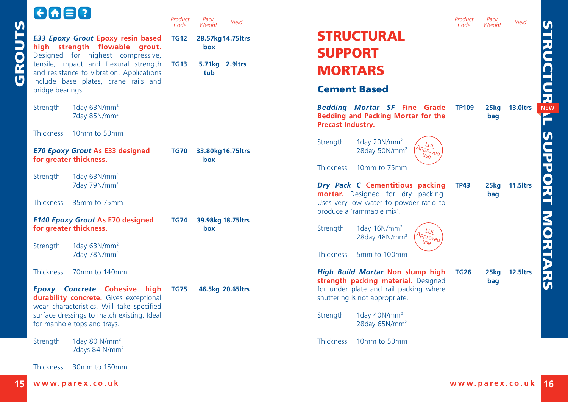<span id="page-8-0"></span>

|             | EITER,                                                                                                              | Product<br>Code | Pack<br>Yield<br>Weight   |                                                                                                                   | Product<br>Code | Pack<br>Weight | Yield                |
|-------------|---------------------------------------------------------------------------------------------------------------------|-----------------|---------------------------|-------------------------------------------------------------------------------------------------------------------|-----------------|----------------|----------------------|
| <b>SLNC</b> | E33 Epoxy Grout Epoxy resin based                                                                                   | <b>TG12</b>     | 28.57kg 14.75 ltrs        | <b>STRUCTURAL</b>                                                                                                 |                 |                |                      |
|             | high strength flowable grout.<br>Designed for highest compressive,                                                  |                 | box                       | <b>SUPPORT</b>                                                                                                    |                 |                |                      |
| <b>GRO</b>  | tensile, impact and flexural strength<br>and resistance to vibration. Applications                                  | <b>TG13</b>     | 5.71kg 2.9ltrs<br>tub     | <b>MORTARS</b>                                                                                                    |                 |                |                      |
|             | include base plates, crane rails and<br>bridge bearings.                                                            |                 |                           | <b>Cement Based</b>                                                                                               |                 |                |                      |
|             | 1day $63N/mm^2$<br>Strength<br>7day 85N/mm <sup>2</sup>                                                             |                 |                           | <b>Bedding Mortar SF Fine Grade</b><br><b>Bedding and Packing Mortar for the</b><br><b>Precast Industry.</b>      | <b>TP109</b>    | 25kg<br>bag    | 13.0 <sub>ltrs</sub> |
|             | 10mm to 50mm<br><b>Thickness</b>                                                                                    |                 |                           |                                                                                                                   |                 |                |                      |
|             | <b>E70 Epoxy Grout As E33 designed</b><br>for greater thickness.                                                    | <b>TG70</b>     | 33.80kg 16.75 ltrs<br>box | Strength<br>1day 20N/mm <sup>2</sup><br>$\iota$<br>Approved<br>28day 50N/mm <sup>2</sup><br>$U_{\mathcal{S}\rho}$ |                 |                |                      |
|             |                                                                                                                     |                 |                           | <b>Thickness</b><br>10mm to 75mm                                                                                  |                 |                |                      |
|             | 1day $63N/mm^2$<br>Strength<br>7day 79N/mm <sup>2</sup>                                                             |                 |                           | Dry Pack C Cementitious packing<br>mortar. Designed for dry packing.                                              | <b>TP43</b>     | 25kg<br>bag    | <b>11.5 Itrs</b>     |
|             | 35mm to 75mm<br><b>Thickness</b>                                                                                    |                 |                           | Uses very low water to powder ratio to<br>produce a 'rammable mix'.                                               |                 |                |                      |
|             | <b>E140 Epoxy Grout As E70 designed</b><br>for greater thickness.                                                   | <b>TG74</b>     | 39.98kg 18.75 ltrs<br>box | 1day $16N/mm^2$<br>Strength<br>$\mu$<br>Approved<br>28day 48N/mm <sup>2</sup>                                     |                 |                |                      |
|             | 1day $63N/mm^2$<br>Strength<br>7day 78N/mm <sup>2</sup>                                                             |                 |                           | $U_{\mathcal{S}_{\Theta}}$<br><b>Thickness</b><br>5mm to 100mm                                                    |                 |                |                      |
|             | 70mm to 140mm<br><b>Thickness</b>                                                                                   |                 |                           | High Build Mortar Non slump high<br>strength packing material. Designed                                           | <b>TG26</b>     | 25kg<br>bag    | 12.5 <sub>ltrs</sub> |
|             | Epoxy Concrete Cohesive high<br>durability concrete. Gives exceptional<br>wear characteristics. Will take specified | <b>TG75</b>     | 46.5kg 20.65ltrs          | for under plate and rail packing where<br>shuttering is not appropriate.                                          |                 |                |                      |
|             | surface dressings to match existing. Ideal<br>for manhole tops and trays.                                           |                 |                           | 1day 40N/mm <sup>2</sup><br>Strength<br>28day 65N/mm <sup>2</sup>                                                 |                 |                |                      |
|             | 1day 80 $N/mm^2$<br>Strength<br>7days 84 N/mm <sup>2</sup>                                                          |                 |                           | <b>Thickness</b><br>10mm to 50mm                                                                                  |                 |                |                      |
|             | 30mm to 150mm<br><b>Thickness</b>                                                                                   |                 |                           |                                                                                                                   |                 |                |                      |
|             |                                                                                                                     |                 |                           |                                                                                                                   |                 |                |                      |

STRUCTURAL SUPPORT MORTARS **STRUCTUR<sup>3</sup>L SUPPORT MORTARS**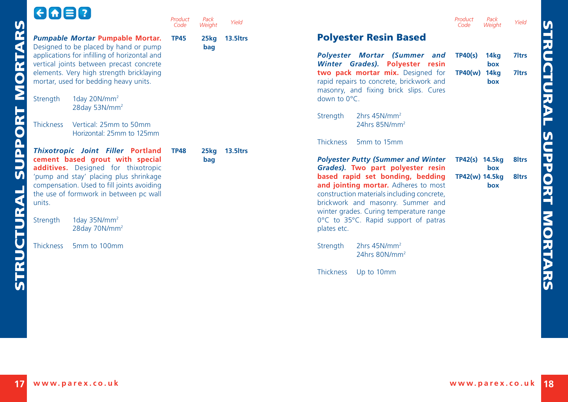## 6088

STRUCTURAL SUPPORT MORTARS

<span id="page-9-0"></span>STRUCTURAL SUPPORT MORTARS

|                                                                                                                                                                                                                                                                | Code        | Weight      | Yield     |                                                                                                                          |
|----------------------------------------------------------------------------------------------------------------------------------------------------------------------------------------------------------------------------------------------------------------|-------------|-------------|-----------|--------------------------------------------------------------------------------------------------------------------------|
| Pumpable Mortar Pumpable Mortar.<br>Designed to be placed by hand or pump                                                                                                                                                                                      | <b>TP45</b> | 25kg<br>bag | 13.5 Itrs | <b>Polyester</b>                                                                                                         |
| applications for infilling of horizontal and<br>vertical joints between precast concrete<br>elements. Very high strength bricklaying<br>mortar, used for bedding heavy units.                                                                                  |             |             |           | <b>Polyester</b> M<br><b>Winter</b> Grad<br>two pack mo<br>rapid repairs to<br>masonry, and                              |
| 1day 20N/mm <sup>2</sup><br>Strength<br>28day 53N/mm <sup>2</sup>                                                                                                                                                                                              |             |             |           | down to $0^{\circ}$ C.                                                                                                   |
| <b>Thickness</b><br>Vertical: 25mm to 50mm<br>Horizontal: 25mm to 125mm                                                                                                                                                                                        |             |             |           | Strength<br>2h<br>24                                                                                                     |
|                                                                                                                                                                                                                                                                |             |             |           | <b>Thickness</b><br>5n                                                                                                   |
| Thixotropic Joint Filler Portland<br>cement based grout with special<br><b>additives.</b> Designed for thixotropic<br>'pump and stay' placing plus shrinkage<br>compensation. Used to fill joints avoiding<br>the use of formwork in between pc wall<br>units. | <b>TP48</b> | 25kg<br>bag | 13.5 Itrs | <b>Polyester Put</b><br>Grades). Two<br>based rapid<br>and jointing<br>construction m<br>brickwork and<br>winter grades. |
| 1day 35N/mm <sup>2</sup><br>Strength<br>28 day $70N/mm^2$                                                                                                                                                                                                      |             |             |           | $0^{\circ}$ C to $35^{\circ}$ C.<br>plates etc.                                                                          |
| <b>Thickness</b><br>5mm to 100mm                                                                                                                                                                                                                               |             |             |           | Strength<br>2h<br>24                                                                                                     |
|                                                                                                                                                                                                                                                                |             |             |           | ----                                                                                                                     |

*Product* 

*Pack*

| Pack<br>Weight | Yield                |                                                                                                                                                                                                                                                               | Product<br>Code           | Pack<br>Weight             | Yield                                  |
|----------------|----------------------|---------------------------------------------------------------------------------------------------------------------------------------------------------------------------------------------------------------------------------------------------------------|---------------------------|----------------------------|----------------------------------------|
| 25kg<br>bag    | 13.5 <sub>ltrs</sub> | <b>Polyester Resin Based</b>                                                                                                                                                                                                                                  |                           |                            |                                        |
|                |                      | Polyester Mortar (Summer and<br>Winter Grades). Polyester resin<br>two pack mortar mix. Designed for<br>rapid repairs to concrete, brickwork and<br>masonry, and fixing brick slips. Cures<br>down to $0^{\circ}$ C.                                          | TP40(s)<br><b>TP40(w)</b> | 14kg<br>box<br>14kg<br>box | 7 <sub>ltrs</sub><br>7 <sub>ltrs</sub> |
|                |                      | 2hrs $45N/mm^2$<br>Strength<br>24hrs 85N/mm <sup>2</sup>                                                                                                                                                                                                      |                           |                            |                                        |
| 25kg           | 13.5 Itrs            | <b>Thickness</b><br>5mm to 15mm                                                                                                                                                                                                                               |                           |                            |                                        |
| bag            |                      | <b>Polyester Putty (Summer and Winter</b><br>Grades). Two part polyester resin                                                                                                                                                                                | TP42(s) 14.5kg            | box                        | 8 <sub>ltrs</sub>                      |
|                |                      | based rapid set bonding, bedding<br>and jointing mortar. Adheres to most<br>construction materials including concrete,<br>brickwork and masonry. Summer and<br>winter grades. Curing temperature range<br>0°C to 35°C. Rapid support of patras<br>plates etc. | TP42(w) 14.5kg            | box                        | 8 <sub>ltrs</sub>                      |
|                |                      | 2hrs $45N/mm^2$<br>Strength<br>24hrs $80N/mm^2$                                                                                                                                                                                                               |                           |                            |                                        |
|                |                      | <b>Thickness</b><br>Up to 10mm                                                                                                                                                                                                                                |                           |                            |                                        |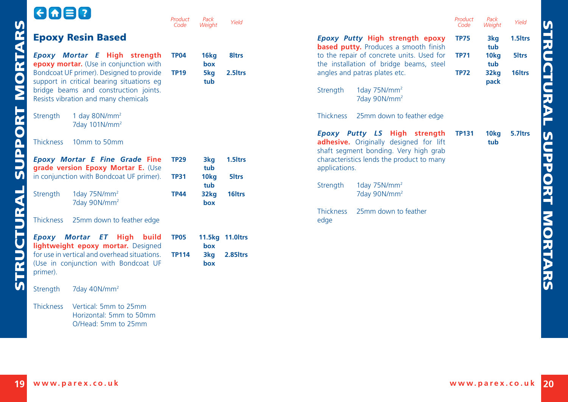<span id="page-10-0"></span>

|                         | <b>GGB0</b>                                                                                      | Product<br>Code | Pack<br>Weight     | Yield               |                          |                                                                                                                 | Product<br>Code | Pack<br>Weight          | Yield              |
|-------------------------|--------------------------------------------------------------------------------------------------|-----------------|--------------------|---------------------|--------------------------|-----------------------------------------------------------------------------------------------------------------|-----------------|-------------------------|--------------------|
|                         | <b>Epoxy Resin Based</b>                                                                         |                 |                    |                     |                          | Epoxy Putty High strength epoxy<br><b>based putty.</b> Produces a smooth finish                                 | <b>TP75</b>     | 3kg<br>tub              | 1.5 ltrs           |
|                         | Epoxy Mortar E High strength<br>epoxy mortar. (Use in conjunction with                           | <b>TP04</b>     | 16kg<br>box        | 8ltrs               |                          | to the repair of concrete units. Used for<br>the installation of bridge beams, steel                            | <b>TP71</b>     | 10kg<br>tub             | 5ltrs              |
|                         | Bondcoat UF primer). Designed to provide<br>support in critical bearing situations eg            | <b>TP19</b>     | 5kg                | 2.5 ltrs            |                          | angles and patras plates etc.                                                                                   | <b>TP72</b>     | 32kg                    | 16 <sub>ltrs</sub> |
| <b>MORTAR</b>           | bridge beams and construction joints.<br>Resists vibration and many chemicals                    |                 | tub                |                     | Strength                 | 1day $75N/mm^2$<br>7day 90N/mm <sup>2</sup>                                                                     |                 | pack                    |                    |
| PORT                    | 1 day $80N/mm^2$<br>Strength<br>7day 101N/mm <sup>2</sup>                                        |                 |                    |                     | <b>Thickness</b>         | 25mm down to feather edge                                                                                       |                 |                         |                    |
|                         | <b>Thickness</b><br>10mm to 50mm                                                                 |                 |                    |                     |                          | Epoxy Putty LS High strength<br>adhesive. Originally designed for lift<br>shaft segment bonding. Very high grab | <b>TP131</b>    | 10 <sub>kg</sub><br>tub | 5.7 Itrs           |
| $\overline{\mathsf{P}}$ | <b>Epoxy Mortar E Fine Grade Fine</b>                                                            | <b>TP29</b>     | 3kg<br>tub         | 1.5 <sub>ltrs</sub> |                          | characteristics lends the product to many                                                                       |                 |                         |                    |
|                         | grade version Epoxy Mortar E. (Use<br>in conjunction with Bondcoat UF primer).                   | <b>TP31</b>     | 10 <sub>kg</sub>   | 5 <sub>ltrs</sub>   | applications.            |                                                                                                                 |                 |                         |                    |
|                         | Strength<br>1day $75N/mm^2$<br>7day 90N/mm <sup>2</sup>                                          | <b>TP44</b>     | tub<br>32kg<br>box | 16 <sub>ltrs</sub>  | Strength                 | 1day $75N/mm^2$<br>7day 90N/mm <sup>2</sup>                                                                     |                 |                         |                    |
| $\mathbf{r}$            | <b>Thickness</b><br>25mm down to feather edge                                                    |                 |                    |                     | <b>Thickness</b><br>edge | 25mm down to feather                                                                                            |                 |                         |                    |
| İ                       |                                                                                                  |                 |                    |                     |                          |                                                                                                                 |                 |                         |                    |
|                         | Epoxy Mortar ET High<br>build<br>lightweight epoxy mortar. Designed                              | <b>TP05</b>     | box                | 11.5kg 11.0ltrs     |                          |                                                                                                                 |                 |                         |                    |
| œ                       | for use in vertical and overhead situations.<br>(Use in conjunction with Bondcoat UF<br>primer). | <b>TP114</b>    | 3kg<br>box         | 2.85 ltrs           |                          |                                                                                                                 |                 |                         |                    |
| .<br>N                  | 7day 40N/mm <sup>2</sup><br>Strength                                                             |                 |                    |                     |                          |                                                                                                                 |                 |                         |                    |
|                         | Vertical: 5mm to 25mm<br><b>Thickness</b><br>Horizontal: 5mm to 50mm<br>O/Head: 5mm to 25mm      |                 |                    |                     |                          |                                                                                                                 |                 |                         |                    |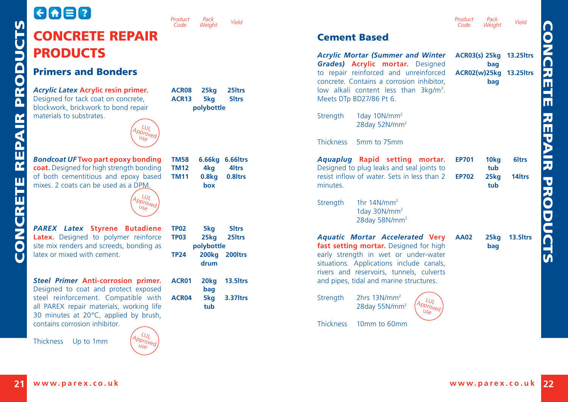## <span id="page-11-0"></span>GAER CONCRETE REPAIR **PRODUCTS** Primers and Bonders *[Acrylic Latex](http://www.parex.co.uk/prod-link/28.aspx)* **Acrylic resin primer.** Designed for tack coat on concrete, blockwork, brickwork to bond repair materials to substrates.

**ACR08 25kg 25ltrs ACR13 5kg 5ltrs polybottle**

*Pack*

**TM58 6.66kg 6.66ltrs TM12 4kg 4ltrs TM11 0.8kg 0.8ltrs**

*Product Code*

*[Bondcoat UF](http://www.parex.co.uk/prod-link/41.aspx)* **Two part epoxy bonding coat.** Designed for high strength bonding of both cementitious and epoxy based mixes. 2 coats can be used as a DPM.



Approved

*PAREX Latex* **Styrene Butadiene Latex.** Designed to polymer reinforce site mix renders and screeds, bonding as latex or mixed with cement.

*[Steel Primer](http://www.parex.co.uk/prod-link/162.aspx)* **Anti-corrosion primer.**  Designed to coat and protect exposed steel reinforcement. Compatible with all PAREX repair materials, working life 30 minutes at 20°C, applied by brush, contains corrosion inhibitor.

Thickness Up to 1mm



| TM58        |                          | 6.66kg 6.66ltrs     |
|-------------|--------------------------|---------------------|
| <b>TM12</b> | 4ka                      | 4 <sub>ltrs</sub>   |
| TM11        | 0.8 <sub>kq</sub><br>box | 0.8 <sub>ltrs</sub> |

| <b>TP03</b> |                  | 25ka 25ltrs          |
|-------------|------------------|----------------------|
|             | polybottle       |                      |
| <b>TP24</b> |                  | 200kg 200ltrs        |
|             | drum             |                      |
|             |                  |                      |
| ACR01       | 20 <sub>kg</sub> | 13.5 <sub>ltrs</sub> |
|             | bag              |                      |

**ACR04 5kg 3.37ltrs tub**

**TP02 5kg 5ltrs**

Cement Based *[Acrylic Mortar](http://www.parex.co.uk/prod-link/29.aspx) (Summer and Winter Grades)* **Acrylic mortar.** Designed to repair reinforced and unreinforced concrete. Contains a corrosion inhibitor, low alkali content less than 3kg/m<sup>3</sup>. Meets DTp BD27/86 Pt 6. Strength 1day 10N/mm<sup>2</sup> 28day 52N/mm<sup>2</sup> Thickness 5mm to 75mm *[Aquaplug](http://www.parex.co.uk/prod-link/33.aspx)* **Rapid setting mortar.**  Designed to plug leaks and seal joints to resist inflow of water. Sets in less than 2 minutes. Strength 1hr 14N/mm<sup>2</sup> 1day 30N/mm<sup>2</sup> 28day 58N/mm2 *[Aquatic Mortar Accelerated](http://www.parex.co.uk/prod-link/34.aspx)* **Very fast setting mortar.** Designed for high early strength in wet or under-water situations. Applications include canals, rivers and reservoirs, tunnels, culverts and pipes, tidal and marine structures. Strength 2hrs 13N/mm<sup>2</sup> 28day 55N/mm2 LUL<br>PProv<br>USe **ACR03(s) 25kg 13.25ltrs bag ACR02(w) 25kg 13.25ltrs bag EP701 10kg 6ltrs tub EP702 25kg 14ltrs tub AA02 25kg 13.5ltrs bag**

Thickness 10mm to 60mm

*Weight Yield Product* 

*Weight Yield*

*Pack*

*Code*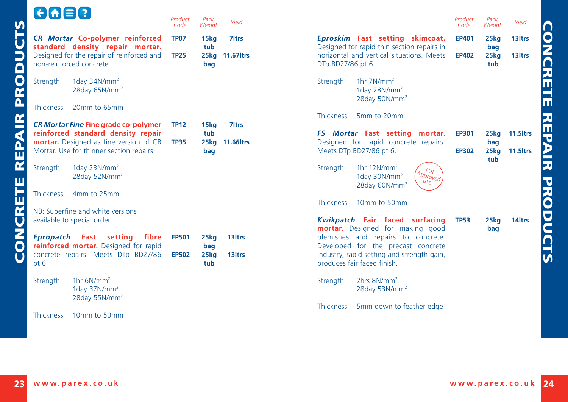CONCRETE REPAIR PRODUCTS

CONCRETE REPAIR PRODUCT:

<span id="page-12-0"></span>**LA** 

|                                                                                    | Code         | Weight      | 11 <del>c</del> ru |
|------------------------------------------------------------------------------------|--------------|-------------|--------------------|
| CR Mortar Co-polymer reinforced<br>standard density repair mortar.                 | <b>TP07</b>  | 15kg<br>tub | 7 <sub>ltrs</sub>  |
| Designed for the repair of reinforced and<br>non-reinforced concrete.              | <b>TP25</b>  | 25kg<br>bag | <b>11.67 Itrs</b>  |
| 1day $34N/mm^2$<br>Strength<br>28day 65N/mm <sup>2</sup>                           |              |             |                    |
| <b>Thickness</b><br>20mm to 65mm                                                   |              |             |                    |
| CR Mortar Fine Fine grade co-polymer<br>reinforced standard density repair         | <b>TP12</b>  | 15kg<br>tub | 7 <sub>ltrs</sub>  |
| mortar. Designed as fine version of CR<br>Mortar. Use for thinner section repairs. | <b>TP35</b>  | 25kg<br>bag | <b>11.66 trs</b>   |
| 1day $23N/mm^2$<br>Strength<br>28day 52N/mm <sup>2</sup>                           |              |             |                    |
| <b>Thickness</b><br>4mm to 25mm                                                    |              |             |                    |
| NB: Superfine and white versions<br>available to special order                     |              |             |                    |
| Fast setting<br>fibre<br>Epropatch<br>reinforced mortar. Designed for rapid        | <b>EP501</b> | 25kg<br>bag | 13 <sub>ltrs</sub> |
| concrete repairs. Meets DTp BD27/86<br>pt 6.                                       | <b>EP502</b> | 25kg<br>tub | 13 <sub>ltrs</sub> |
| 1hr $6N/mm^2$<br>Strength<br>1day 37N/mm <sup>2</sup><br>28day 55N/mm <sup>2</sup> |              |             |                    |
| <b>Thickness</b><br>10mm to 50mm                                                   |              |             |                    |

*Product* 

*Pack*

| Pack<br>Weight             | Yield                                  |                   |                                                                                                                            | Product<br>Code              | Pack<br>Weight             | Yield                                    |
|----------------------------|----------------------------------------|-------------------|----------------------------------------------------------------------------------------------------------------------------|------------------------------|----------------------------|------------------------------------------|
| 15kg<br>tub<br>25kg<br>bag | 7 <sub>ltrs</sub><br><b>11.67 Itrs</b> | DTp BD27/86 pt 6. | Eproskim Fast setting skimcoat.<br>Designed for rapid thin section repairs in<br>horizontal and vertical situations. Meets | <b>EP401</b><br><b>EP402</b> | 25kg<br>bag<br>25kg<br>tub | 13 <sub>ltrs</sub><br>13 <sub>ltrs</sub> |
|                            |                                        | Strength          | 1hr $7N/mm^2$<br>1day 28N/mm <sup>2</sup><br>28day 50N/mm <sup>2</sup>                                                     |                              |                            |                                          |
|                            |                                        | <b>Thickness</b>  | 5mm to 20mm                                                                                                                |                              |                            |                                          |
| 15kg<br>tub                | 7 <sub>ltrs</sub>                      |                   | FS Mortar Fast setting mortar.                                                                                             | <b>EP301</b>                 | 25kg                       | 11.5 <sub>ltrs</sub>                     |
| 25kg<br>bag                | <b>11.66 trs</b>                       |                   | Designed for rapid concrete repairs.<br>Meets DTp BD27/86 pt 6.                                                            | <b>EP302</b>                 | bag<br>25kg                | 11.5 <sub>ltrs</sub>                     |
|                            |                                        | Strength          | 1hr $12N/mm^2$<br>$\iota_{U_L}$<br>Approved<br>1day 30N/mm <sup>2</sup><br>USA<br>28day 60N/mm <sup>2</sup>                |                              | tub                        |                                          |
|                            |                                        | <b>Thickness</b>  | 10mm to 50mm                                                                                                               |                              |                            |                                          |
| 25kg                       | 13 <sub>ltrs</sub>                     |                   | Kwikpatch Fair faced surfacing<br><b>mortar.</b> Designed for making good<br>blemishes and repairs to concrete.            | <b>TP53</b>                  | 25kg<br>bag                | 14 <sub>ltrs</sub>                       |
| bag<br>25kg                | 13 <sub>ltrs</sub>                     |                   | Developed for the precast concrete<br>industry, rapid setting and strength gain,                                           |                              |                            |                                          |
| tub                        |                                        |                   | produces fair faced finish.                                                                                                |                              |                            |                                          |
|                            |                                        | Strength          | $2hrs$ 8N/mm <sup>2</sup><br>28day 53N/mm <sup>2</sup>                                                                     |                              |                            |                                          |
|                            |                                        | <b>Thickness</b>  | 5mm down to feather edge                                                                                                   |                              |                            |                                          |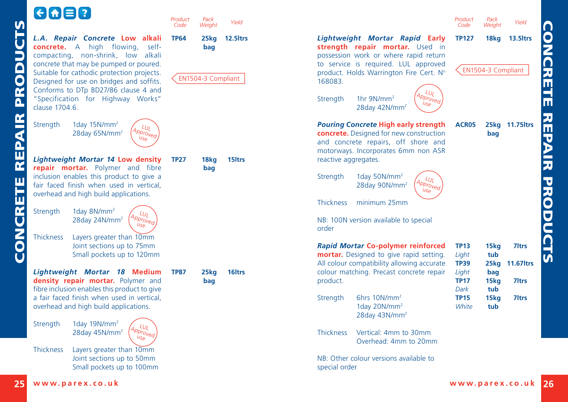# GOED

<span id="page-13-0"></span>

|                                                                                                                                                                                                                                                                                                                                                       | Code                                                                                                                                                                              | Weight                  | Yield              |                                                                                                                                                                                                                                                                                                         | Product<br>Code                                                                                                |
|-------------------------------------------------------------------------------------------------------------------------------------------------------------------------------------------------------------------------------------------------------------------------------------------------------------------------------------------------------|-----------------------------------------------------------------------------------------------------------------------------------------------------------------------------------|-------------------------|--------------------|---------------------------------------------------------------------------------------------------------------------------------------------------------------------------------------------------------------------------------------------------------------------------------------------------------|----------------------------------------------------------------------------------------------------------------|
| L.A. Repair Concrete Low alkali<br><b>concrete.</b> A high flowing,<br>self-<br>compacting, non-shrink, low alkali<br>concrete that may be pumped or poured.<br>Suitable for cathodic protection projects.<br>Designed for use on bridges and soffits.<br>Conforms to DTp BD27/86 clause 4 and<br>"Specification for Highway Works"<br>clause 1704.6. | <b>TP64</b>                                                                                                                                                                       | 25kg<br>bag             | 12.5 ltrs          | Lightweight Mortar Rapid Early<br>strength repair mortar. Used in<br>possession work or where rapid return<br>to service is required. LUL approved<br>product. Holds Warrington Fire Cert. Nº<br>168083.<br>LUL<br>1hr $9N/mm^2$<br>p <sub>proved</sub><br>Strength<br>Use<br>28day 42N/mm <sup>2</sup> | <b>TP127</b><br>EN1                                                                                            |
| Strength<br>1day $15N/mm^2$<br>LUL<br>Approved<br>28day 65N/mm <sup>2</sup><br>Use                                                                                                                                                                                                                                                                    |                                                                                                                                                                                   |                         |                    | <b>Pouring Concrete High early strength</b><br>concrete. Designed for new construction<br>and concrete repairs, off shore and                                                                                                                                                                           | ACRO!                                                                                                          |
| Lightweight Mortar 14 Low density                                                                                                                                                                                                                                                                                                                     | <b>TP27</b>                                                                                                                                                                       | 18kg                    | 15 <sub>ltrs</sub> | reactive aggregates.                                                                                                                                                                                                                                                                                    |                                                                                                                |
| inclusion enables this product to give a<br>fair faced finish when used in vertical,                                                                                                                                                                                                                                                                  |                                                                                                                                                                                   |                         |                    | Strength<br>1day 50N/mm <sup>2</sup><br>ĻυL<br>Approved<br>28day 90N/mm <sup>2</sup><br>Use                                                                                                                                                                                                             |                                                                                                                |
|                                                                                                                                                                                                                                                                                                                                                       |                                                                                                                                                                                   |                         |                    | <b>Thickness</b><br>minimum 25mm                                                                                                                                                                                                                                                                        |                                                                                                                |
| Approved<br>28day 24N/mm <sup>2</sup><br>use                                                                                                                                                                                                                                                                                                          |                                                                                                                                                                                   |                         |                    | NB: 100N version available to special<br>order                                                                                                                                                                                                                                                          |                                                                                                                |
| <b>Thickness</b><br>Layers greater than 10mm<br>Joint sections up to 75mm<br>Small pockets up to 120mm                                                                                                                                                                                                                                                |                                                                                                                                                                                   |                         |                    | Rapid Mortar Co-polymer reinforced<br>mortar. Designed to give rapid setting.                                                                                                                                                                                                                           | <b>TP13</b><br>Light<br><b>TP39</b>                                                                            |
| Lightweight Mortar 18 Medium<br>density repair mortar. Polymer and                                                                                                                                                                                                                                                                                    | <b>TP87</b>                                                                                                                                                                       | 25 <sub>kq</sub><br>bag | 16 <sub>ltrs</sub> | colour matching. Precast concrete repair<br>product.                                                                                                                                                                                                                                                    | Light<br><b>TP17</b>                                                                                           |
| a fair faced finish when used in vertical,<br>overhead and high build applications.                                                                                                                                                                                                                                                                   |                                                                                                                                                                                   |                         |                    | 6hrs 10N/mm <sup>2</sup><br>Strength<br>1day 20N/mm <sup>2</sup>                                                                                                                                                                                                                                        | Dark<br><b>TP15</b><br>White                                                                                   |
| 1day $19N/mm^2$<br>Strength<br>LUL<br>Approved<br>28day 45N/mm <sup>2</sup><br>Use                                                                                                                                                                                                                                                                    |                                                                                                                                                                                   |                         |                    | Vertical: 4mm to 30mm<br><b>Thickness</b><br>Overhead: 4mm to 20mm                                                                                                                                                                                                                                      |                                                                                                                |
| <b>Thickness</b><br>Layers greater than 10mm<br>Joint sections up to 50mm<br>Small pockets up to 100mm                                                                                                                                                                                                                                                |                                                                                                                                                                                   |                         |                    | NB: Other colour versions available to<br>special order                                                                                                                                                                                                                                                 |                                                                                                                |
|                                                                                                                                                                                                                                                                                                                                                       | repair mortar. Polymer and fibre<br>overhead and high build applications.<br>1day 8N/mm <sup>2</sup><br>Strength<br>$\iota_{U_l}$<br>fibre inclusion enables this product to give | Product                 | Pack<br>bag        | EN1504-3 Compliant                                                                                                                                                                                                                                                                                      | motorways. Incorporates 6mm non ASR<br>All colour compatibility allowing accurate<br>28day 43N/mm <sup>2</sup> |

*Product* 

*Pack*

*[Lightweight Mortar Rapid](http://www.parex.co.uk/prod-link/202.aspx)* **Early**  mortar. Used in where rapid return ired. LUL approved  $r$ ington Fire Cert. No  $\text{mm}^2$  $\frac{LU_L}{U_{S\alpha}}$  $12N/mm<sup>2</sup>$ *[Pouring Concrete](http://www.parex.co.uk/prod-link/139.aspx)* **High early strength**  for new construction airs, off shore and orates 6mm non ASR  $\text{N/mm}^2$  $90N/mm^2$ Approved m 25mm vailable to special *[Rapid Mortar](http://www.parex.co.uk/prod-link/142.aspx)* **Co-polymer reinforced**  to give rapid setting. lity allowing accurate ecast concrete repair  $N/mm^2$  $10$ N/mm<sup>2</sup>  $13N/mm<sup>2</sup>$ 4mm to 30mm ad: 4mm to 20mm rsions available to **TP127 18kg 13.5ltrs** EN1504-3 Compliant **ACR05 25kg 11.75ltrs bag TP13 15kg 7ltrs** *Light* **tub TP39 25kg 11.67ltrs** *Light* **bag TP17 15kg 7ltrs** *Dark* **tub TP15 15kg 7ltrs** *White* **tub** *Code Weight Yield*

*Pack*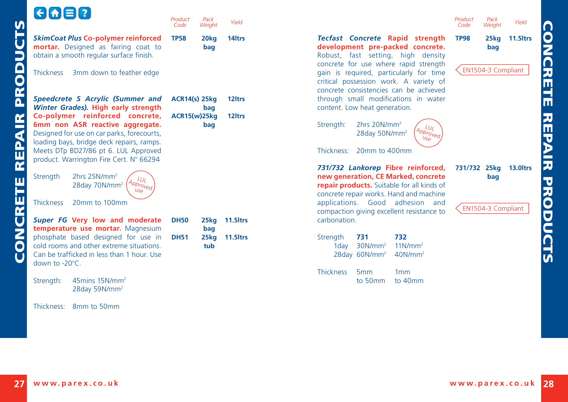<span id="page-14-0"></span>

| <b>V)</b>                                  | $G \cap E$                                                                                                                                                    | Product<br>Code      | Pack<br>Weight             | Yield                |                                                                                                                                                                    | Product<br>Code |
|--------------------------------------------|---------------------------------------------------------------------------------------------------------------------------------------------------------------|----------------------|----------------------------|----------------------|--------------------------------------------------------------------------------------------------------------------------------------------------------------------|-----------------|
| Ë<br>D                                     | <b>SkimCoat Plus Co-polymer reinforced</b><br>mortar. Designed as fairing coat to<br>obtain a smooth regular surface finish.                                  | <b>TP58</b>          | 20 <sub>kg</sub><br>bag    | 14 <sub>ltrs</sub>   | Tecfast Concrete Rapid strength<br>development pre-packed concrete.<br>Robust, fast setting, high density<br>concrete for use where rapid strength                 | <b>TP98</b>     |
| $\bigcap$<br>$\overline{\mathbf{C}}$       | <b>Thickness</b><br>3mm down to feather edge                                                                                                                  |                      |                            |                      | gain is required, particularly for time<br>critical possession work. A variety of<br>concrete consistencies can be achieved                                        | EN1             |
| $\frac{\alpha}{\beta}$                     | Speedcrete S Acrylic (Summer and<br>Winter Grades). High early strength                                                                                       | <b>ACR14(s) 25kg</b> | bag                        | 12 <sub>ltrs</sub>   | through small modifications in water<br>content. Low heat generation.                                                                                              |                 |
| $\mathbf{K}$<br>₫                          | Co-polymer reinforced concrete,<br>6mm non ASR reactive aggregate.<br>Designed for use on car parks, forecourts,<br>loading bays, bridge deck repairs, ramps. |                      | <b>ACR15(w)25kg</b><br>bag | 12 <sub>ltrs</sub>   | 2hrs 20N/mm <sup>2</sup><br>Strength:<br>$\iota_{U}$<br>Approved<br>28day 50N/mm <sup>2</sup><br>Use                                                               |                 |
| $\frac{2}{\pi}$<br>$\overline{\mathbf{r}}$ | Meets DTp BD27/86 pt 6. LUL Approved<br>product. Warrington Fire Cert. Nº 66294                                                                               |                      |                            |                      | Thickness:<br>20mm to 400mm                                                                                                                                        |                 |
| ш                                          | 2hrs 25N/mm <sup>2</sup><br>Strength<br>$L_{U}$<br>Approved<br>28day 70N/mm <sup>2</sup><br>USA                                                               |                      |                            |                      | 731/732 Lankorep Fibre reinforced,<br>new generation, CE Marked, concrete<br>repair products. Suitable for all kinds of<br>concrete repair works. Hand and machine | 731/7           |
| π<br>fr                                    | <b>Thickness</b><br>20mm to 100mm                                                                                                                             |                      |                            |                      | applications. Good adhesion and<br>compaction giving excellent resistance to                                                                                       | EN <sub>1</sub> |
|                                            | Super FG Very low and moderate<br>temperature use mortar. Magnesium                                                                                           | <b>DH50</b>          | 25kg<br>bag                | 11.5 <sub>ltrs</sub> | carbonation.                                                                                                                                                       |                 |
| <b>UNO</b>                                 | phosphate based designed for use in<br>cold rooms and other extreme situations.<br>Can be trafficked in less than 1 hour. Use<br>down to -20°C.               | <b>DH51</b>          | 25kg<br>tub                | 11.5 ltrs            | 732<br>Strength<br>731<br>$11$ N/mm <sup>2</sup><br>30N/mm <sup>2</sup><br>1day<br>28day 60N/mm <sup>2</sup><br>$40$ N/mm <sup>2</sup>                             |                 |
|                                            | 45mins 15N/mm <sup>2</sup><br>Strength:<br>28day 59N/mm <sup>2</sup>                                                                                          |                      |                            |                      | <b>Thickness</b><br>5 <sub>mm</sub><br>1mm<br>to 50mm<br>to 40mm                                                                                                   |                 |
|                                            | Thickness:<br>8mm to 50mm                                                                                                                                     |                      |                            |                      |                                                                                                                                                                    |                 |



*Pack Weight Yield*

**[www.parex.co.uk](http://www.parex.co.uk) [www.parex.co.uk](http://www.parex.co.uk) 27 28**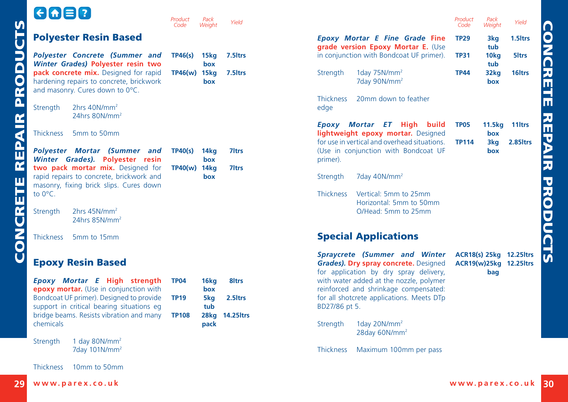<span id="page-15-0"></span>

| $\left[\in \left[\biguparrow \right]$ $\equiv$ $\left[\right]$ ? |                                                                                                                                                                                                             | Product<br>Code                            | Pack<br>Weight                    | Yield                                              |
|------------------------------------------------------------------|-------------------------------------------------------------------------------------------------------------------------------------------------------------------------------------------------------------|--------------------------------------------|-----------------------------------|----------------------------------------------------|
|                                                                  | <b>Polyester Resin Based</b>                                                                                                                                                                                |                                            |                                   |                                                    |
|                                                                  | Polyester Concrete (Summer and<br>Winter Grades) Polyester resin two<br>pack concrete mix. Designed for rapid<br>hardening repairs to concrete, brickwork<br>and masonry. Cures down to 0°C.                | TP46(s)<br>TP46(w) 15kg                    | 15kg<br>box<br>box                | 7.5 <sub>ltrs</sub><br>7.5 <sub>ltrs</sub>         |
| Strength                                                         | 2hrs 40N/mm <sup>2</sup><br>24hrs 80N/mm <sup>2</sup>                                                                                                                                                       |                                            |                                   |                                                    |
| <b>Thickness</b>                                                 | 5mm to 50mm                                                                                                                                                                                                 |                                            |                                   |                                                    |
| <b>Winter</b> Grades).<br>to $0^{\circ}$ C.                      | Polyester Mortar (Summer and<br><b>Polyester</b><br>resin<br>two pack mortar mix. Designed for<br>rapid repairs to concrete, brickwork and<br>masonry, fixing brick slips. Cures down                       | TP40(s)<br>TP40(w) 14kg                    | 14kg<br>box<br>box                | <b>7</b> Itrs<br><b>7</b> Itrs                     |
| Strength                                                         | 2hrs 45N/mm <sup>2</sup><br>24hrs $85N/mm2$                                                                                                                                                                 |                                            |                                   |                                                    |
| <b>Thickness</b>                                                 | 5mm to 15mm                                                                                                                                                                                                 |                                            |                                   |                                                    |
|                                                                  | <b>Epoxy Resin Based</b>                                                                                                                                                                                    |                                            |                                   |                                                    |
|                                                                  | Epoxy Mortar E High strength<br>epoxy mortar. (Use in conjunction with<br>Bondcoat UF primer). Designed to provide<br>support in critical bearing situations eg<br>bridge beams. Resists vibration and many | <b>TP04</b><br><b>TP19</b><br><b>TP108</b> | 16kg<br>box<br>5kg<br>tub<br>28kg | 8 <sub>ltrs</sub><br>2.5 Itrs<br><b>14.25 ltrs</b> |
| chemicals                                                        |                                                                                                                                                                                                             |                                            | pack                              |                                                    |
| Strength                                                         | 1 day $80N/mm^2$<br>7day 101N/mm <sup>2</sup>                                                                                                                                                               |                                            |                                   |                                                    |
| <b>Thickness</b>                                                 | 10mm to 50mm                                                                                                                                                                                                |                                            |                                   |                                                    |

| Pack<br>Weight            | Yield                         |                          |                                                                                                                                                                                                                                                                 | Product<br>Code | Pack<br>Weight | Yield                                              |
|---------------------------|-------------------------------|--------------------------|-----------------------------------------------------------------------------------------------------------------------------------------------------------------------------------------------------------------------------------------------------------------|-----------------|----------------|----------------------------------------------------|
|                           |                               |                          | <b>Epoxy Mortar E Fine Grade Fine</b><br>grade version Epoxy Mortar E. (Use                                                                                                                                                                                     | <b>TP29</b>     | 3kg<br>tub     | 1.5 <sub>ltrs</sub>                                |
| 15kg<br>box               | 7.5 Itrs                      |                          | in conjunction with Bondcoat UF primer).                                                                                                                                                                                                                        | <b>TP31</b>     | 10kg<br>tub    | 5 <sub>ltrs</sub>                                  |
| 15kg<br>box               | 7.5 Itrs                      | Strength                 | 1day $75N/mm^2$<br>7day 90N/mm <sup>2</sup>                                                                                                                                                                                                                     | TP44            | 32kg<br>box    | 16 <sub>ltrs</sub>                                 |
|                           |                               | <b>Thickness</b><br>edge | 20mm down to feather                                                                                                                                                                                                                                            |                 |                |                                                    |
|                           |                               |                          | Epoxy Mortar ET High<br>build<br>lightweight epoxy mortar. Designed                                                                                                                                                                                             | TP05            | 11.5kg<br>box  | 11 <sub>ltrs</sub>                                 |
| 14kg<br>box               | 7 <sub>ltrs</sub>             | primer).                 | for use in vertical and overhead situations.<br>(Use in conjunction with Bondcoat UF                                                                                                                                                                            | <b>TP114</b>    | 3kg<br>box     | 2.85 trs                                           |
| 14kg<br>box               | 7 <sub>ltrs</sub>             | Strength                 | 7day 40N/mm <sup>2</sup>                                                                                                                                                                                                                                        |                 |                |                                                    |
|                           |                               | <b>Thickness</b>         | Vertical: 5mm to 25mm<br>Horizontal: 5mm to 50mm<br>O/Head: 5mm to 25mm                                                                                                                                                                                         |                 |                |                                                    |
|                           |                               |                          | <b>Special Applications</b>                                                                                                                                                                                                                                     |                 |                |                                                    |
| 16kg<br>box<br>5kg<br>tub | 8 <sub>ltrs</sub><br>2.5 Itrs | BD27/86 pt 5.            | <b>Spraycrete (Summer and Winter</b><br><b>Grades). Dry spray concrete.</b> Designed<br>for application by dry spray delivery,<br>with water added at the nozzle, polymer<br>reinforced and shrinkage compensated:<br>for all shotcrete applications. Meets DTp |                 | bag            | ACR18(s) 25kg 12.25 ltrs<br>ACR19(w)25kg 12.25ltrs |
| 28kg<br>pack              | <b>14.25 ltrs</b>             | Strength                 | 1day 20N/mm <sup>2</sup><br>28day 60N/mm <sup>2</sup>                                                                                                                                                                                                           |                 |                |                                                    |
|                           |                               | <b>Thickness</b>         | Maximum 100mm per pass                                                                                                                                                                                                                                          |                 |                |                                                    |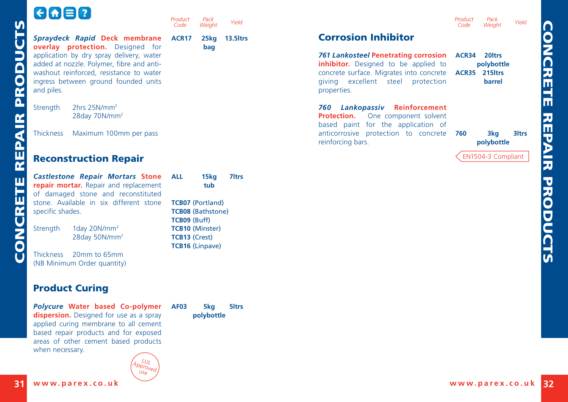<span id="page-16-0"></span>

| $\Theta$ $\Theta$ $\Xi$ $\Omega$                                                                                                                                                                                                                            | Product<br>Pack<br>Yield<br>Code<br>Weight                                                                                                      |                                                                                                                                                                                                                     | Product<br>Pack<br>Yield<br>Weight<br>Code                  |
|-------------------------------------------------------------------------------------------------------------------------------------------------------------------------------------------------------------------------------------------------------------|-------------------------------------------------------------------------------------------------------------------------------------------------|---------------------------------------------------------------------------------------------------------------------------------------------------------------------------------------------------------------------|-------------------------------------------------------------|
| Spraydeck Rapid Deck membrane<br>overlay protection. Designed for<br>application by dry spray delivery, water<br>added at nozzle. Polymer, fibre and anti-<br>washout reinforced, resistance to water<br>ingress between ground founded units<br>and piles. | ACR <sub>17</sub><br>13.5 Itrs<br>25kg<br>bag                                                                                                   | <b>Corrosion Inhibitor</b><br>761 Lankosteel Penetrating corrosion ACR34<br>inhibitor. Designed to be applied to<br>concrete surface. Migrates into concrete<br>giving excellent steel<br>protection<br>properties. | 20 <sub>ltrs</sub><br>polybottle<br>ACR35 215 trs<br>barrel |
| 2hrs 25N/mm <sup>2</sup><br>Strength<br>28day 70N/mm <sup>2</sup>                                                                                                                                                                                           |                                                                                                                                                 | 760 Lankopassiv Reinforcement<br><b>Protection.</b> One component solvent<br>based paint for the application of                                                                                                     |                                                             |
| <b>Thickness</b><br>Maximum 100mm per pass                                                                                                                                                                                                                  |                                                                                                                                                 | anticorrosive protection to concrete<br>reinforcing bars.                                                                                                                                                           | 3kg<br><b>3</b> Itrs<br>760<br>polybottle                   |
| <b>Reconstruction Repair</b>                                                                                                                                                                                                                                |                                                                                                                                                 |                                                                                                                                                                                                                     | EN1504-3 Compliant                                          |
| <b>Castlestone Repair Mortars Stone</b><br>repair mortar. Repair and replacement<br>of damaged stone and reconstituted<br>stone. Available in six different stone<br>specific shades.<br>1day 20N/mm <sup>2</sup><br>Strength                               | 7 <sub>ltrs</sub><br><b>ALL</b><br>15kg<br>tub<br><b>TCB07 (Portland)</b><br><b>TCB08 (Bathstone)</b><br>TCB09 (Buff)<br><b>TCB10 (Minster)</b> |                                                                                                                                                                                                                     |                                                             |
| 28day 50N/mm <sup>2</sup><br>Thickness 20mm to 65mm<br>(NB Minimum Order quantity)                                                                                                                                                                          | <b>TCB13 (Crest)</b><br><b>TCB16 (Linpave)</b>                                                                                                  |                                                                                                                                                                                                                     |                                                             |
| <b>Product Curing</b>                                                                                                                                                                                                                                       |                                                                                                                                                 |                                                                                                                                                                                                                     |                                                             |
| Polycure Water based Co-polymer<br>dispersion. Designed for use as a spray<br>applied curing membrane to all cement<br>based repair products and for exposed<br>areas of other cement based products<br>when necessary.                                     | <b>AF03</b><br>5kg<br>5 <sub>ltrs</sub><br>polybottle                                                                                           |                                                                                                                                                                                                                     |                                                             |

CONCRETE REPAIR PRODUCTS $\epsilon$ r Ŀ n r п ĩ.  $\overline{6}$  $\epsilon$ 

**[www.parex.co.uk](http://www.parex.co.uk) [www.parex.co.uk](http://www.parex.co.uk) 31 32**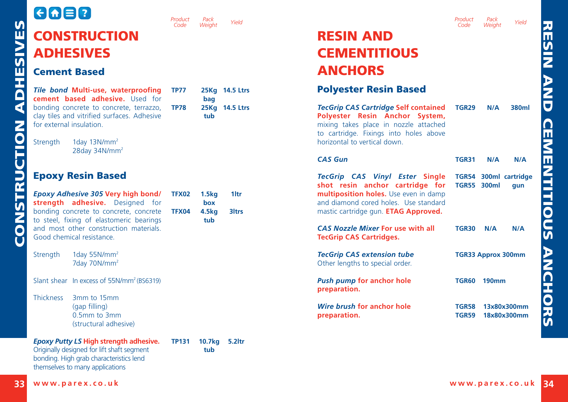#### <span id="page-17-0"></span>**CAB2** *Product Code* **CONSTRUCTION** ADHESIVES Cement Based *Tile bond* **Multi-use, waterproofing TP77 25Kg 14.5 Ltrs cement based adhesive.** Used for bonding concrete to concrete, terrazzo, TP78 clay tiles and vitrified surfaces. Adhesive for external insulation. Strength 1day 13N/mm<sup>2</sup> 28day 34N/mm2 Epoxy Resin Based *[Epoxy Adhesive 305](http://www.parex.co.uk/prod-link/71.aspx)* **Very high bond/ TFX02 1.5kg 1ltr strength adhesive.** Designed for bonding concrete to concrete, concrete **TFX04 4.5kg 3ltrs** to steel, fixing of elastomeric bearings and most other construction materials. Good chemical resistance. Strength 1day 55N/mm<sup>2</sup> 7day 70N/mm2 Slant shear In excess of 55N/mm<sup>2</sup> (BS6319) Thickness 3mm to 15mm (gap filling) 0.5mm to 3mm

*[Epoxy Putty LS](http://www.parex.co.uk/prod-link/78.aspx)* **High strength adhesive.** Originally designed for lift shaft segment bonding. High grab characteristics lend themselves to many applications

(structural adhesive) **TP131 10.7kg 5.2ltr tub**

 **bag TP78 25Kg 14.5 Ltrs tub**

*Pack*

 **box**

 **tub**



#### *Code Pack Weight Yield*

| <b>RESIN AND</b>    |
|---------------------|
| <b>CEMENTITIOUS</b> |
| <b>ANCHORS</b>      |

#### Polyester Resin Based

| <b>TecGrip CAS Cartridge Self contained TGR29</b><br>Polyester Resin Anchor System,<br>mixing takes place in nozzle attached<br>to cartridge. Fixings into holes above<br>horizontal to vertical down. |                    | N/A          | 380ml                        |
|--------------------------------------------------------------------------------------------------------------------------------------------------------------------------------------------------------|--------------------|--------------|------------------------------|
| <b>CAS Gun</b>                                                                                                                                                                                         | <b>TGR31</b>       | N/A          | N/A                          |
| TecGrip CAS Vinyl Ester Single<br>shot resin anchor cartridge for<br>multiposition holes. Use even in damp<br>and diamond cored holes. Use standard<br>mastic cartridge gun. <b>ETAG Approved.</b>     | <b>TGR55 300ml</b> |              | TGR54 300ml cartridge<br>qun |
| <b>CAS Nozzle Mixer For use with all</b><br><b>TecGrip CAS Cartridges.</b>                                                                                                                             | TGR30              | N/A          | N/A                          |
| <b>TecGrip CAS extension tube</b><br>Other lengths to special order.                                                                                                                                   |                    |              | <b>TGR33 Approx 300mm</b>    |
| <b>Push pump for anchor hole</b><br>preparation.                                                                                                                                                       | TGR60              | <b>190mm</b> |                              |
| Wire brush for anchor hole<br>preparation.                                                                                                                                                             | TGR58<br>TGR59     |              | 13x80x300mm<br>18x80x300mm   |

RESIN AND

RESIN AND CEMENTITIOUS ANCHORS**CEMENTITIOUS ANCHORS**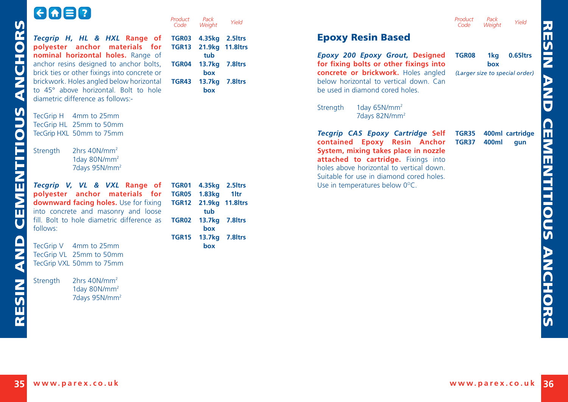# GO<sub>8</sub>

<span id="page-18-0"></span>

|                                                                                                                                                                        | Product<br>Code                                                                                                                                           | Pack<br>Weight | Yield                                              |                                                                                                                                                                     | Product<br>Code              |
|------------------------------------------------------------------------------------------------------------------------------------------------------------------------|-----------------------------------------------------------------------------------------------------------------------------------------------------------|----------------|----------------------------------------------------|---------------------------------------------------------------------------------------------------------------------------------------------------------------------|------------------------------|
| Tecgrip H, HL & HXL Range of<br>polyester anchor materials for                                                                                                         | TGR03<br><b>TGR13</b>                                                                                                                                     |                |                                                    | <b>Epoxy Resin Based</b>                                                                                                                                            |                              |
| nominal horizontal holes. Range of<br>anchor resins designed to anchor bolts,                                                                                          |                                                                                                                                                           | tub            |                                                    | Epoxy 200 Epoxy Grout, Designed<br>for fixing bolts or other fixings into                                                                                           | <b>TGR08</b>                 |
| brick ties or other fixings into concrete or<br>brickwork. Holes angled below horizontal<br>to 45° above horizontal. Bolt to hole<br>diametric difference as follows:- | TGR43                                                                                                                                                     | box<br>box     |                                                    | concrete or brickwork. Holes angled<br>below horizontal to vertical down. Can<br>be used in diamond cored holes.                                                    | (Large)                      |
| TecGrip H 4mm to 25mm                                                                                                                                                  |                                                                                                                                                           |                |                                                    | 1day $65N/mm^2$<br>Strength<br>7days 82N/mm <sup>2</sup>                                                                                                            |                              |
| TecGrip HXL 50mm to 75mm                                                                                                                                               |                                                                                                                                                           |                |                                                    | Tecgrip CAS Epoxy Cartridge Self                                                                                                                                    | TGR35<br>TGR37               |
| 2hrs $40N/mm^2$<br>Strength<br>1day 80N/mm <sup>2</sup><br>7days 95N/mm <sup>2</sup>                                                                                   |                                                                                                                                                           |                |                                                    | System, mixing takes place in nozzle<br>attached to cartridge. Fixings into<br>holes above horizontal to vertical down.<br>Suitable for use in diamond cored holes. |                              |
| Tecgrip V, VL & VXL Range of                                                                                                                                           |                                                                                                                                                           |                |                                                    | Use in temperatures below 0°C.                                                                                                                                      |                              |
| downward facing holes. Use for fixing                                                                                                                                  |                                                                                                                                                           |                |                                                    |                                                                                                                                                                     |                              |
| fill. Bolt to hole diametric difference as<br>follows:                                                                                                                 | <b>TGR02</b>                                                                                                                                              | box            |                                                    |                                                                                                                                                                     |                              |
|                                                                                                                                                                        |                                                                                                                                                           |                |                                                    |                                                                                                                                                                     |                              |
| TecGrip VL 25mm to 50mm<br>TecGrip VXL 50mm to 75mm                                                                                                                    |                                                                                                                                                           |                |                                                    |                                                                                                                                                                     |                              |
| 2hrs $40N/mm^2$<br>Strength<br>1day 80N/ $mm2$                                                                                                                         |                                                                                                                                                           |                |                                                    |                                                                                                                                                                     |                              |
|                                                                                                                                                                        |                                                                                                                                                           |                |                                                    |                                                                                                                                                                     |                              |
|                                                                                                                                                                        | TecGrip HL 25mm to 50mm<br>polyester anchor materials for<br>into concrete and masonry and loose<br>4mm to 25mm<br>TecGrip V<br>7days 95N/mm <sup>2</sup> | TGR05          | TGR04<br>1.83 <sub>kq</sub><br>tub<br>TGR15<br>box | 4.35kg 2.5ltrs<br>21.9kg 11.8ltrs<br>13.7kg 7.8ltrs<br>13.7kg 7.8ltrs<br>TGR01 4.35kg 2.5ltrs<br>1ltr<br>TGR12 21.9kg 11.8ltrs<br>13.7kg 7.8ltrs<br>13.7kg 7.8ltrs  | contained Epoxy Resin Anchor |

| Epoxy 200 Epoxy Grout, Designed<br>for fixing bolts or other fixings into<br>concrete or brickwork. Holes angled<br>below horizontal to vertical down. Can<br>be used in diamond cored holes.                                                                                              | TGR08          | 1kg l<br>hox | $0.65$ ltrs<br>(Larger size to special order) |
|--------------------------------------------------------------------------------------------------------------------------------------------------------------------------------------------------------------------------------------------------------------------------------------------|----------------|--------------|-----------------------------------------------|
| 1day $65N/mm^2$<br>Strength<br>7days 82N/mm <sup>2</sup>                                                                                                                                                                                                                                   |                |              |                                               |
| Tecgrip CAS Epoxy Cartridge Self<br>contained Epoxy Resin Anchor<br>System, mixing takes place in nozzle<br><b>attached to cartridge.</b> Fixings into<br>holes above horizontal to vertical down.<br>Suitable for use in diamond cored holes.<br>Use in temperatures below $0^{\circ}$ C. | TGR35<br>TGR37 | 400ml        | 400ml cartridge<br>qun                        |

*Code*

*Pack Weight Yield*

RES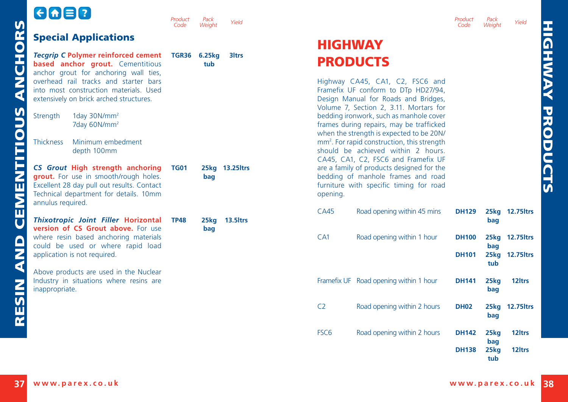RESIN AND CEMENTITIOUS ANCHORS

<span id="page-19-0"></span>RESIN AND CEMENTITIOUS ANCHORS

|                                                                                                                                                                                        | Product<br>Code | Pack<br>Weight | Yield                |                                                                                                                                                          | Product<br>Code            |
|----------------------------------------------------------------------------------------------------------------------------------------------------------------------------------------|-----------------|----------------|----------------------|----------------------------------------------------------------------------------------------------------------------------------------------------------|----------------------------|
| <b>Special Applications</b>                                                                                                                                                            |                 |                |                      | <b>HIGHWAY</b>                                                                                                                                           |                            |
| <b>Tecarip C Polymer reinforced cement</b><br><b>based anchor grout.</b> Cementitious<br>anchor grout for anchoring wall ties,                                                         | <b>TGR36</b>    | 6.25kg<br>tub  | <b>3ltrs</b>         | <b>PRODUCTS</b>                                                                                                                                          |                            |
| overhead rail tracks and starter bars<br>into most construction materials. Used<br>extensively on brick arched structures.                                                             |                 |                |                      | Highway CA45, CA1, C2, FSC6 and<br>Framefix UF conform to DTp HD27/94,<br>Design Manual for Roads and Bridges,<br>Volume 7, Section 2, 3.11. Mortars for |                            |
| 1day 30N/mm <sup>2</sup><br>Strength<br>7day 60N/mm <sup>2</sup>                                                                                                                       |                 |                |                      | bedding ironwork, such as manhole cover<br>frames during repairs, may be trafficked<br>when the strength is expected to be 20N/                          |                            |
| Minimum embedment<br><b>Thickness</b><br>depth 100mm                                                                                                                                   |                 |                |                      | mm <sup>2</sup> . For rapid construction, this strength<br>should be achieved within 2 hours.<br>CA45, CA1, C2, FSC6 and Framefix UF                     |                            |
| CS Grout High strength anchoring<br>grout. For use in smooth/rough holes.<br>Excellent 28 day pull out results. Contact<br>Technical department for details. 10mm<br>annulus required. | <b>TG01</b>     | bag            | 25kg 13.25ltrs       | are a family of products designed for the<br>bedding of manhole frames and road<br>furniture with specific timing for road<br>opening.                   |                            |
| <b>Thixotropic Joint Filler Horizontal</b>                                                                                                                                             | <b>TP48</b>     | 25kg           | 13.5 <sub>ltrs</sub> | CA45<br>Road opening within 45 mins                                                                                                                      | <b>DH129</b>               |
| version of CS Grout above. For use<br>where resin based anchoring materials<br>could be used or where rapid load<br>application is not required.                                       |                 | bag            |                      | CA <sub>1</sub><br>Road opening within 1 hour                                                                                                            | <b>DH10</b><br><b>DH10</b> |
| Above products are used in the Nuclear<br>Industry in situations where resins are<br>inappropriate.                                                                                    |                 |                |                      | Framefix UF Road opening within 1 hour                                                                                                                   | <b>DH14</b>                |
|                                                                                                                                                                                        |                 |                |                      | Road opening within 2 hours<br>C <sub>2</sub>                                                                                                            | <b>DH02</b>                |
|                                                                                                                                                                                        |                 |                |                      |                                                                                                                                                          |                            |

*Product* 

## **HIGHWAY PRODUCTS**

| <b>CA45</b>      | Road opening within 45 mins            | <b>DH129</b> | 25kg<br>bag | <b>12.75 trs</b>   |
|------------------|----------------------------------------|--------------|-------------|--------------------|
| CA1              | Road opening within 1 hour             | <b>DH100</b> | 25kg<br>bag | <b>12.75 ltrs</b>  |
|                  |                                        | <b>DH101</b> | 25kg<br>tub | <b>12.75 ltrs</b>  |
|                  | Framefix UF Road opening within 1 hour | <b>DH141</b> | 25kg<br>bag | 12 <sub>ltrs</sub> |
| C2               | Road opening within 2 hours            | <b>DH02</b>  | 25kg<br>bag | <b>12.75 trs</b>   |
| FSC <sub>6</sub> | Road opening within 2 hours            | <b>DH142</b> | 25kg<br>bag | 12 <sub>ltrs</sub> |
|                  |                                        | <b>DH138</b> | 25kg<br>tub | 12 <sub>ltrs</sub> |

*Pack Weight Yield*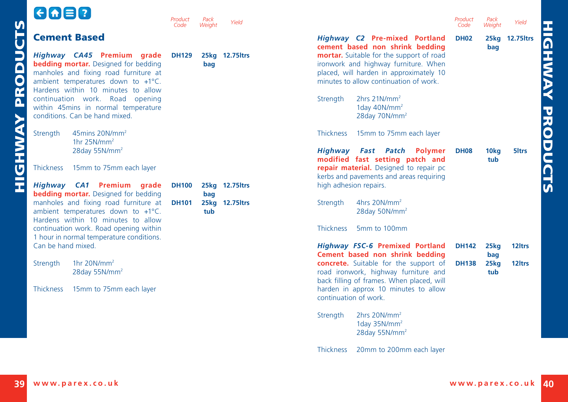<span id="page-20-0"></span>

|                 | GOE!                                                                                                                                                                                                                                                                                                       | Product      | Pack   | Yield           | Product<br>Pack<br>Yield                                                                                                                                                                                                                                               |
|-----------------|------------------------------------------------------------------------------------------------------------------------------------------------------------------------------------------------------------------------------------------------------------------------------------------------------------|--------------|--------|-----------------|------------------------------------------------------------------------------------------------------------------------------------------------------------------------------------------------------------------------------------------------------------------------|
|                 | <b>Cement Based</b>                                                                                                                                                                                                                                                                                        | Code         | Weiaht |                 | Code<br>Weight<br>Highway C2 Pre-mixed Portland<br><b>DH02</b><br>25kg 12.75 ltrs<br>cement based non shrink bedding<br>bag                                                                                                                                            |
| <b>PRODUCTS</b> | Highway CA45 Premium grade<br><b>bedding mortar.</b> Designed for bedding<br>manholes and fixing road furniture at<br>ambient temperatures down to +1°C.<br>Hardens within 10 minutes to allow<br>continuation work. Road opening<br>within 45mins in normal temperature<br>conditions. Can be hand mixed. | <b>DH129</b> | bag    | 25kg 12.75 ltrs | mortar. Suitable for the support of road<br>ironwork and highway furniture. When<br>placed, will harden in approximately 10<br>minutes to allow continuation of work.<br>2hrs 21N/mm <sup>2</sup><br>Strength<br>1day 40N/mm <sup>2</sup><br>28day 70N/mm <sup>2</sup> |
| <b>HIGHWAY</b>  | Strength<br>45mins 20N/mm <sup>2</sup><br>1hr $25N/mm^2$<br>28day 55N/mm <sup>2</sup>                                                                                                                                                                                                                      |              |        |                 | <b>Thickness</b><br>15mm to 75mm each layer<br>Highway Fast Patch Polymer<br>5 <sub>ltrs</sub><br><b>DH08</b><br>10 <sub>kg</sub><br>modified fast setting patch and<br>tub                                                                                            |
|                 | 15mm to 75mm each layer<br><b>Thickness</b>                                                                                                                                                                                                                                                                |              |        |                 | repair material. Designed to repair pc<br>kerbs and pavements and areas requiring                                                                                                                                                                                      |
|                 | Highway CA1 Premium grade<br><b>bedding mortar.</b> Designed for bedding                                                                                                                                                                                                                                   | <b>DH100</b> | bag    | 25kg 12.75ltrs  | high adhesion repairs.                                                                                                                                                                                                                                                 |
|                 | manholes and fixing road furniture at<br>ambient temperatures down to +1°C.<br>Hardens within 10 minutes to allow                                                                                                                                                                                          | <b>DH101</b> | tub    | 25kg 12.75ltrs  | 4hrs 20N/mm <sup>2</sup><br>Strength<br>28day 50N/mm <sup>2</sup>                                                                                                                                                                                                      |
|                 | continuation work. Road opening within<br>1 hour in normal temperature conditions.                                                                                                                                                                                                                         |              |        |                 | <b>Thickness</b><br>5mm to 100mm                                                                                                                                                                                                                                       |
|                 | Can be hand mixed.                                                                                                                                                                                                                                                                                         |              |        |                 | <b>Highway FSC-6 Premixed Portland</b><br>12 <sub>ltrs</sub><br><b>DH142</b><br>25kg<br>Cement based non shrink bedding<br>bag                                                                                                                                         |
|                 | 1hr $20N/mm^2$<br>Strength<br>28day 55N/mm <sup>2</sup>                                                                                                                                                                                                                                                    |              |        |                 | concrete. Suitable for the support of<br>12 <sub>ltrs</sub><br><b>DH138</b><br>25 <sub>kq</sub><br>road ironwork, highway furniture and<br>tub<br>back filling of frames. When placed, will                                                                            |
|                 | Thickness<br>15mm to 75mm each layer                                                                                                                                                                                                                                                                       |              |        |                 | harden in approx 10 minutes to allow<br>continuation of work.                                                                                                                                                                                                          |
|                 |                                                                                                                                                                                                                                                                                                            |              |        |                 | 2hrs 20N/mm <sup>2</sup><br>Strength<br>1day $35N/mm^2$<br>28day 55N/mm <sup>2</sup>                                                                                                                                                                                   |
|                 |                                                                                                                                                                                                                                                                                                            |              |        |                 | <b>Thickness</b><br>20mm to 200mm each layer                                                                                                                                                                                                                           |

HIGHWAY PRODUCTS

**HIGHWAY PRODUCTS**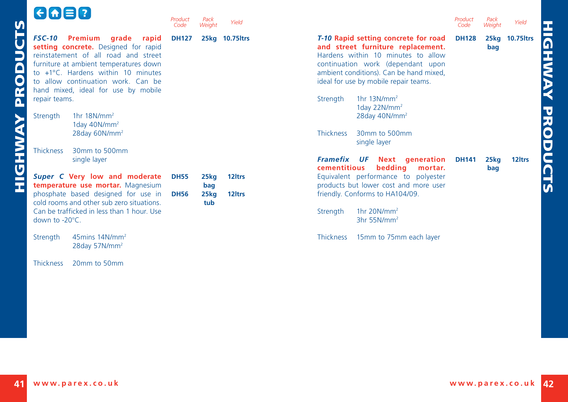<span id="page-21-0"></span>

|                              | $G \cap \Xi$                                                                                                                                                                                                                                                                                                 | Product<br>Code | Pack<br>Weight | Yield              | Product<br>Pack<br>Yield<br>Weight<br>Code                                                                                                                                                                                                                                                                       |
|------------------------------|--------------------------------------------------------------------------------------------------------------------------------------------------------------------------------------------------------------------------------------------------------------------------------------------------------------|-----------------|----------------|--------------------|------------------------------------------------------------------------------------------------------------------------------------------------------------------------------------------------------------------------------------------------------------------------------------------------------------------|
| $\overline{\mathsf{Q}}$<br>Ĕ | <b>FSC-10</b><br><b>Premium</b><br>grade rapid<br>setting concrete. Designed for rapid<br>reinstatement of all road and street<br>furniture at ambient temperatures down<br>to +1°C. Hardens within 10 minutes<br>to allow continuation work. Can be<br>hand mixed, ideal for use by mobile<br>repair teams. | <b>DH127</b>    |                | 25kg 10.75 ltrs    | T-10 Rapid setting concrete for road<br><b>DH128</b><br>25kg 10.75 ltrs<br>and street furniture replacement.<br>bag<br>Hardens within 10 minutes to allow<br>continuation work (dependant upon<br>ambient conditions). Can be hand mixed,<br>ideal for use by mobile repair teams.<br>1hr $13N/mm^2$<br>Strength |
|                              | 1hr $18N/mm^2$<br>Strength<br>1day $40N/mm^2$<br>28day 60N/mm <sup>2</sup>                                                                                                                                                                                                                                   |                 |                |                    | 1day $22N/mm^2$<br>28day 40N/mm <sup>2</sup><br><b>Thickness</b><br>30mm to 500mm<br>single layer                                                                                                                                                                                                                |
| Ū                            | 30mm to 500mm<br><b>Thickness</b><br>single layer<br>Super C Very low and moderate<br>temperature use mortar. Magnesium                                                                                                                                                                                      | <b>DH55</b>     | 25kg<br>bag    | 12 <sub>ltrs</sub> | <b>Framefix UF</b><br>Next generation<br><b>DH141</b><br>12 <sub>ltrs</sub><br>25kg<br>cementitious<br>bedding<br>mortar.<br>bag<br>Equivalent performance to polyester<br>products but lower cost and more user                                                                                                 |
|                              | phosphate based designed for use in<br>cold rooms and other sub zero situations.<br>Can be trafficked in less than 1 hour. Use<br>down to $-20^{\circ}$ C.                                                                                                                                                   | <b>DH56</b>     | 25kg<br>tub    | 12 <sub>ltrs</sub> | friendly. Conforms to HA104/09.<br>1hr $20N/mm^2$<br>Strength<br>$3hr$ 55N/mm <sup>2</sup>                                                                                                                                                                                                                       |
|                              | 45 $\text{mins }$ 14N/ $\text{mm}^2$<br>Strength<br>28day 57N/mm <sup>2</sup>                                                                                                                                                                                                                                |                 |                |                    | 15mm to 75mm each layer<br><b>Thickness</b>                                                                                                                                                                                                                                                                      |

Thickness 20mm to 50mm

r

HIGHWAY PRODUCTS

**HIGHWAY PRODUCTS**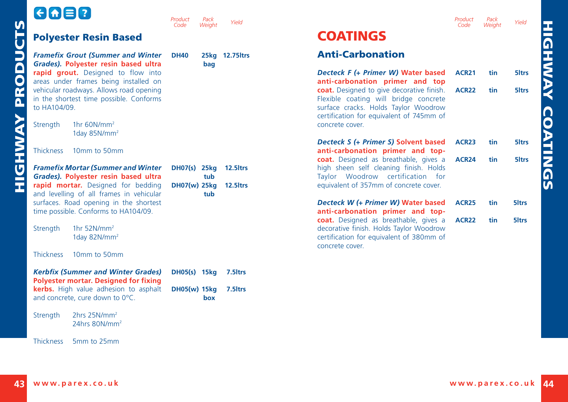| ______<br>_______ | ______<br>______ |
|-------------------|------------------|
|-------------------|------------------|

<span id="page-22-0"></span>

| <b>PRODUCTS</b> | <b>Polyester Resin Based</b>                                                                                                                                        | Code<br>Weight                                      | Yield          | <b>COATINGS</b>                                                                                                                                                        | Code              | Weight          | Yield             |
|-----------------|---------------------------------------------------------------------------------------------------------------------------------------------------------------------|-----------------------------------------------------|----------------|------------------------------------------------------------------------------------------------------------------------------------------------------------------------|-------------------|-----------------|-------------------|
|                 | <b>Framefix Grout (Summer and Winter</b><br>Grades). Polyester resin based ultra                                                                                    | <b>DH40</b><br>bag                                  | 25kg 12.75ltrs | <b>Anti-Carbonation</b>                                                                                                                                                |                   |                 |                   |
|                 | rapid grout. Designed to flow into<br>areas under frames being installed on                                                                                         |                                                     |                | Decteck F (+ Primer W) Water based<br>anti-carbonation primer and top                                                                                                  | <b>ACR21</b>      | tin             | 5 <sub>ltrs</sub> |
|                 | vehicular roadways. Allows road opening<br>in the shortest time possible. Conforms<br>to HA104/09.                                                                  |                                                     |                | coat. Designed to give decorative finish.<br>Flexible coating will bridge concrete<br>surface cracks. Holds Taylor Woodrow<br>certification for equivalent of 745mm of | ACR <sub>22</sub> | tin             | 5 <sub>ltrs</sub> |
|                 | 1hr $60N/mm^2$<br>Strength<br>1day 85N/mm <sup>2</sup>                                                                                                              |                                                     |                | concrete cover.                                                                                                                                                        |                   |                 |                   |
|                 | 10mm to 50mm<br>Thickness                                                                                                                                           |                                                     |                | Decteck S (+ Primer S) Solvent based<br>anti-carbonation primer and top-                                                                                               | <b>ACR23</b>      | tin             | 5 <sub>ltrs</sub> |
| <b>HIGHWAY</b>  | <b>Framefix Mortar (Summer and Winter</b><br>Grades). Polyester resin based ultra<br>rapid mortar. Designed for bedding<br>and levelling of all frames in vehicular | DH07(s) 25kg 12.5ltrs<br>tub<br>DH07(w) 25kg<br>tub | 12.5 ltrs      | coat. Designed as breathable, gives a<br>high sheen self cleaning finish. Holds<br>Taylor Woodrow certification for<br>equivalent of 357mm of concrete cover.          | <b>ACR24</b>      | tin             | 5 <sub>ltrs</sub> |
|                 | surfaces. Road opening in the shortest<br>time possible. Conforms to HA104/09.                                                                                      |                                                     |                | Decteck W (+ Primer W) Water based<br>anti-carbonation primer and top-                                                                                                 | ACR <sub>25</sub> | tin             | 5 <sub>ltrs</sub> |
|                 | 1hr $52N/mm^2$<br>Strength<br>1day 82N/mm <sup>2</sup>                                                                                                              |                                                     |                | coat. Designed as breathable, gives a<br>decorative finish. Holds Taylor Woodrow<br>certification for equivalent of 380mm of<br>concrete cover.                        | <b>ACR22</b>      | tin             | 5 <sub>ltrs</sub> |
|                 | 10mm to 50mm<br><b>Thickness</b>                                                                                                                                    |                                                     |                |                                                                                                                                                                        |                   |                 |                   |
|                 | <b>Kerbfix (Summer and Winter Grades)</b><br>Polyester mortar. Designed for fixing                                                                                  | DH05(s) 15kg                                        | 7.5 Itrs       |                                                                                                                                                                        |                   |                 |                   |
|                 | kerbs. High value adhesion to asphalt<br>and concrete, cure down to 0°C.                                                                                            | DH05(w) 15kg<br>box                                 | 7.5 ltrs       |                                                                                                                                                                        |                   |                 |                   |
|                 | 2hrs 25N/mm <sup>2</sup><br>Strength<br>24hrs 80N/mm <sup>2</sup>                                                                                                   |                                                     |                |                                                                                                                                                                        |                   |                 |                   |
|                 | <b>Thickness</b><br>5mm to 25mm                                                                                                                                     |                                                     |                |                                                                                                                                                                        |                   |                 |                   |
|                 | 43 www.parex.co.uk                                                                                                                                                  |                                                     |                |                                                                                                                                                                        |                   | www.parex.co.uk |                   |

*Product* 

*Pack*

*Weight Yield*

*Product Code Pack Weight Yield*

#### Anti-Carbonation

| Decteck F (+ Primer W) Water based<br>anti-carbonation primer and top                                                                                                                     | <b>ACR21</b>      | tin | 5 <sub>ltrs</sub> |
|-------------------------------------------------------------------------------------------------------------------------------------------------------------------------------------------|-------------------|-----|-------------------|
| coat. Designed to give decorative finish.<br>Flexible coating will bridge concrete<br>surface cracks. Holds Taylor Woodrow<br>certification for equivalent of 745mm of<br>concrete cover. | <b>ACR22</b>      | tin | 5 <sub>ltrs</sub> |
| Decteck S (+ Primer S) Solvent based<br>anti-carbonation primer and top-                                                                                                                  | ACR <sub>23</sub> | tin | 5 <sub>ltrs</sub> |
| coat. Designed as breathable, gives a<br>high sheen self cleaning finish. Holds<br>Taylor Woodrow certification for<br>equivalent of 357mm of concrete cover.                             | ACR <sub>24</sub> | tin | 5 <sub>ltrs</sub> |
| Decteck W (+ Primer W) Water based<br>anti-carbonation primer and top-                                                                                                                    | <b>ACR25</b>      | tin | 5 <sub>ltrs</sub> |
| coat. Designed as breathable, gives a<br>decorative finish. Holds Taylor Woodrow<br>certification for equivalent of 380mm of<br>concrete cover.                                           | <b>ACR22</b>      | tin | 5 <sub>ltrs</sub> |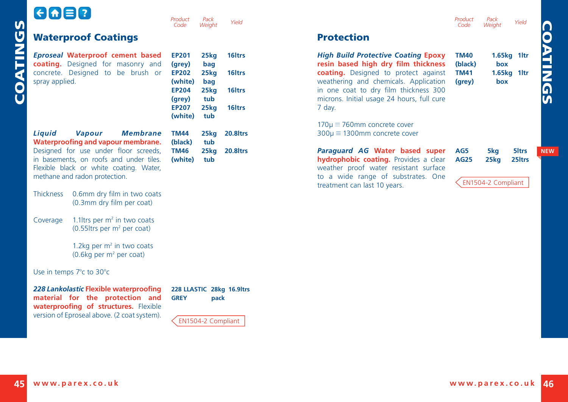<span id="page-23-0"></span>

| ს<br>ს        | G&80                                                                                    | Pack<br>Product<br>Code<br>Weight                  | Yield              |                                                                                   | Product<br>Code        | Pack<br>Weight     | Yield                                   |
|---------------|-----------------------------------------------------------------------------------------|----------------------------------------------------|--------------------|-----------------------------------------------------------------------------------|------------------------|--------------------|-----------------------------------------|
|               | <b>Waterproof Coatings</b>                                                              |                                                    |                    | <b>Protection</b>                                                                 |                        |                    |                                         |
| <b>COATIN</b> | <b>Eproseal Waterproof cement based</b><br>coating. Designed for masonry and            | <b>EP201</b><br>25 <sub>kq</sub><br>(grey)<br>bag  | 16 <sub>ltrs</sub> | <b>High Build Protective Coating Epoxy</b><br>resin based high dry film thickness | <b>TM40</b><br>(black) | box                | 1.65kg 1ltr                             |
|               | concrete. Designed to be brush or<br>spray applied.                                     | <b>EP202</b><br>25 <sub>kq</sub><br>(white)<br>bag | 16 <sub>ltrs</sub> | coating. Designed to protect against<br>weathering and chemicals. Application     | <b>TM41</b><br>(grey)  | box                | 1.65kg 1ltr                             |
|               |                                                                                         | <b>EP204</b><br>25 <sub>kq</sub>                   | 16 <sub>ltrs</sub> | in one coat to dry film thickness 300                                             |                        |                    |                                         |
|               |                                                                                         | tub<br>(grey)<br><b>EP207</b><br>25 <sub>kq</sub>  | 16 <sub>ltrs</sub> | microns. Initial usage 24 hours, full cure<br>7 day.                              |                        |                    |                                         |
|               |                                                                                         | (white)<br>tub                                     |                    |                                                                                   |                        |                    |                                         |
|               | Liquid<br><b>Membrane</b><br><b>Vapour</b><br>Waterproofing and vapour membrane.        | <b>TM44</b><br>25kg<br>tub<br>(black)              | 20.8ltrs           | $170\mu \equiv 760$ mm concrete cover<br>$300\mu \equiv 1300$ mm concrete cover   |                        |                    |                                         |
|               | Designed for use under floor screeds,<br>in basements, on roofs and under tiles.        | <b>TM46</b><br>25kg<br>(white)<br>tub              | 20.8ltrs           | Paraguard AG Water based super<br>hydrophobic coating. Provides a clear           | AG5<br><b>AG25</b>     | 5kg<br>25kg        | 5 <sub>ltrs</sub><br>25 <sub>ltrs</sub> |
|               | Flexible black or white coating. Water,                                                 |                                                    |                    | weather proof water resistant surface                                             |                        |                    |                                         |
|               | methane and radon protection.                                                           |                                                    |                    | to a wide range of substrates. One<br>treatment can last 10 years.                |                        | EN1504-2 Compliant |                                         |
|               | 0.6mm dry film in two coats<br><b>Thickness</b><br>(0.3mm dry film per coat)            |                                                    |                    |                                                                                   |                        |                    |                                         |
|               | 1.1 Itrs per $m2$ in two coats<br>Coverage<br>$(0.55$ ltrs per m <sup>2</sup> per coat) |                                                    |                    |                                                                                   |                        |                    |                                         |
|               | 1.2kg per $m2$ in two coats<br>$(0.6$ kg per m <sup>2</sup> per coat)                   |                                                    |                    |                                                                                   |                        |                    |                                         |
|               | Use in temps 7°c to 30°c                                                                |                                                    |                    |                                                                                   |                        |                    |                                         |
|               | 228 Lankolastic Flexible waterproofing<br>material for the protection and               | 228 LLASTIC 28kg 16.9ltrs<br><b>GREY</b>           | pack               |                                                                                   |                        |                    |                                         |

EN1504-2 Compliant

**waterproofing of structures.** Flexible version of Eproseal above. (2 coat system).

**NEW**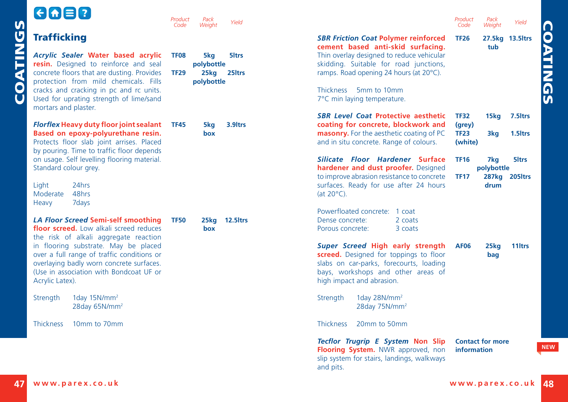<span id="page-24-0"></span>

|          | $\Theta$ $\blacksquare$                                                                                                                                                                                                                                                                                                        | Product<br>Code            | Pack<br>Weight                          | Yield                                   |                                                                                                                                                                                                                                                       | Product<br>Code                  | Pack<br>Weight            | Yield                              |
|----------|--------------------------------------------------------------------------------------------------------------------------------------------------------------------------------------------------------------------------------------------------------------------------------------------------------------------------------|----------------------------|-----------------------------------------|-----------------------------------------|-------------------------------------------------------------------------------------------------------------------------------------------------------------------------------------------------------------------------------------------------------|----------------------------------|---------------------------|------------------------------------|
|          | <b>Trafficking</b>                                                                                                                                                                                                                                                                                                             |                            |                                         |                                         | <b>SBR Friction Coat Polymer reinforced</b><br>cement based anti-skid surfacing.                                                                                                                                                                      | <b>TF26</b>                      | tub                       | 27.5kg 13.5ltrs                    |
| COATINGS | Acrylic Sealer Water based acrylic<br>resin. Designed to reinforce and seal<br>concrete floors that are dusting. Provides<br>protection from mild chemicals. Fills<br>cracks and cracking in pc and rc units.<br>Used for uprating strength of lime/sand<br>mortars and plaster.                                               | <b>TF08</b><br><b>TF29</b> | 5kg<br>polybottle<br>25kg<br>polybottle | 5 <sub>ltrs</sub><br>25 <sub>ltrs</sub> | Thin overlay designed to reduce vehicular<br>skidding. Suitable for road junctions,<br>ramps. Road opening 24 hours (at 20°C).<br>Thickness 5mm to 10mm<br>7°C min laying temperature.<br><b>SBR Level Coat Protective aesthetic</b>                  | <b>TF32</b>                      | 15kg                      | 7.5 <sub>ltrs</sub>                |
|          | Florflex Heavy duty floor joint sealant<br>Based on epoxy-polyurethane resin.<br>Protects floor slab joint arrises. Placed<br>by pouring. Time to traffic floor depends                                                                                                                                                        | <b>TF45</b>                | 5kg<br>box                              | 3.9 <sub>ltrs</sub>                     | coating for concrete, blockwork and<br>masonry. For the aesthetic coating of PC<br>and in situ concrete. Range of colours.                                                                                                                            | (grey)<br><b>TF23</b><br>(white) | 3ka                       | 1.5 <sub>ltrs</sub>                |
|          | on usage. Self levelling flooring material.<br>Standard colour grey.<br>24hrs<br>Light<br>48hrs<br>Moderate<br>Heavy<br>7 days                                                                                                                                                                                                 |                            |                                         |                                         | Silicate Floor Hardener Surface<br>hardener and dust proofer. Designed<br>to improve abrasion resistance to concrete<br>surfaces. Ready for use after 24 hours<br>(at $20^{\circ}$ C).<br>Powerfloated concrete: 1 coat                               | <b>TF16</b><br><b>TF17</b>       | 7kg<br>polybottle<br>drum | 5 <sub>ltrs</sub><br>287kg 205ltrs |
|          | <b>LA Floor Screed Semi-self smoothing</b><br>floor screed. Low alkali screed reduces<br>the risk of alkali aggregate reaction<br>in flooring substrate. May be placed<br>over a full range of traffic conditions or<br>overlaying badly worn concrete surfaces.<br>(Use in association with Bondcoat UF or<br>Acrylic Latex). | <b>TF50</b>                | 25kg<br>box                             | 12.5ltrs                                | Dense concrete:<br>2 coats<br>Porous concrete:<br>3 coats<br>Super Screed High early strength<br>screed. Designed for toppings to floor<br>slabs on car-parks, forecourts, loading<br>bays, workshops and other areas of<br>high impact and abrasion. | <b>AF06</b>                      | 25kg<br>bag               | 11 <sub>ltrs</sub>                 |
|          | 1day $15N/mm^2$<br>Strength<br>28day 65N/mm <sup>2</sup>                                                                                                                                                                                                                                                                       |                            |                                         |                                         | 1day 28N/mm <sup>2</sup><br>Strength<br>28day 75N/mm <sup>2</sup>                                                                                                                                                                                     |                                  |                           |                                    |
|          | <b>Thickness</b><br>10mm to 70mm                                                                                                                                                                                                                                                                                               |                            |                                         |                                         | <b>Thickness</b><br>20mm to 50mm                                                                                                                                                                                                                      |                                  |                           |                                    |
|          |                                                                                                                                                                                                                                                                                                                                |                            |                                         |                                         | Tecflor Trugrip E System Non Slip<br>Flooring System. NWR approved, non<br>slip system for stairs, landings, walkways<br>and pits.                                                                                                                    | information                      | <b>Contact for more</b>   |                                    |
| 47 I     | www.parex.co.uk                                                                                                                                                                                                                                                                                                                |                            |                                         |                                         |                                                                                                                                                                                                                                                       | www.parex.co.uk                  |                           |                                    |

**NEW**

**COATINGS**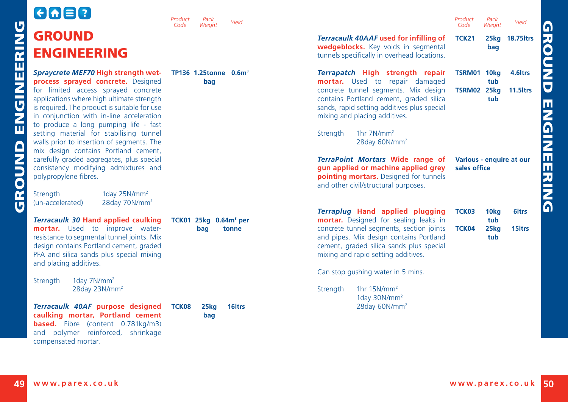<span id="page-25-0"></span>

|             | 6080                                                                                                                                                                                                                                                                                                                                                                                                                                                                            | Product<br>Pack<br>Yield<br>Code<br>Weight        |                                                                                                                                                                                                                                                                                                                                   | Product<br>Code                          | Pack<br>Weight                                     | Yield                                       |
|-------------|---------------------------------------------------------------------------------------------------------------------------------------------------------------------------------------------------------------------------------------------------------------------------------------------------------------------------------------------------------------------------------------------------------------------------------------------------------------------------------|---------------------------------------------------|-----------------------------------------------------------------------------------------------------------------------------------------------------------------------------------------------------------------------------------------------------------------------------------------------------------------------------------|------------------------------------------|----------------------------------------------------|---------------------------------------------|
|             | <b>GROUND</b><br><b>ENGINEERING</b>                                                                                                                                                                                                                                                                                                                                                                                                                                             |                                                   | Terracaulk 40AAF used for infilling of<br>wedgeblocks. Key voids in segmental<br>tunnels specifically in overhead locations.                                                                                                                                                                                                      | <b>TCK21</b>                             | 25kg<br>bag                                        | <b>18.75 ltrs</b>                           |
| ENGINEERING | Spraycrete MEF70 High strength wet-<br>process sprayed concrete. Designed<br>for limited access sprayed concrete<br>applications where high ultimate strength<br>is required. The product is suitable for use<br>in conjunction with in-line acceleration<br>to produce a long pumping life - fast<br>setting material for stabilising tunnel<br>walls prior to insertion of segments. The<br>mix design contains Portland cement,<br>carefully graded aggregates, plus special | TP136 1.25tonne 0.6m <sup>3</sup><br>bag          | Terrapatch High strength repair<br>mortar. Used to repair damaged<br>concrete tunnel segments. Mix design<br>contains Portland cement, graded silica<br>sands, rapid setting additives plus special<br>mixing and placing additives.<br>1hr $7N/mm2$<br>Strength<br>28day 60N/mm <sup>2</sup><br>TerraPoint Mortars Wide range of | <b>TSRM01 10kg</b><br><b>TSRM02 25kg</b> | tub<br>tub<br>Various - enquire at our             | 4.6 <sub>ltrs</sub><br>11.5 <sub>ltrs</sub> |
| GROUND      | consistency modifying admixtures and<br>polypropylene fibres.<br><b>Strenath</b><br>1day 25N/mm <sup>2</sup><br>(un-accelerated)<br>28day 70N/mm <sup>2</sup>                                                                                                                                                                                                                                                                                                                   |                                                   | gun applied or machine applied grey<br>pointing mortars. Designed for tunnels<br>and other civil/structural purposes.<br>Terraplug Hand applied plugging                                                                                                                                                                          | sales office<br>TCK03                    |                                                    | 6 <sub>ltrs</sub>                           |
|             | <b>Terracaulk 30 Hand applied caulking</b><br>mortar. Used to improve water-<br>resistance to segmental tunnel joints. Mix<br>design contains Portland cement, graded<br>PFA and silica sands plus special mixing<br>and placing additives.<br>1day 7N/mm <sup>2</sup><br>Strength<br>28day 23N/mm <sup>2</sup>                                                                                                                                                                 | TCK01 25kg 0.64m <sup>3</sup> per<br>bag<br>tonne | mortar. Designed for sealing leaks in<br>concrete tunnel segments, section joints<br>and pipes. Mix design contains Portland<br>cement, graded silica sands plus special<br>mixing and rapid setting additives.<br>Can stop gushing water in 5 mins.<br>1hr $15N/mm^2$<br>Strength<br>1day 30N/mm <sup>2</sup>                    | TCK04                                    | 10 <sub>kg</sub><br>tub<br>25 <sub>kg</sub><br>tub | 15 <sub>ltrs</sub>                          |
|             | Terracaulk 40AF purpose designed<br>caulking mortar, Portland cement<br><b>based.</b> Fibre (content 0.781kg/m3)<br>and polymer reinforced, shrinkage<br>compensated mortar.                                                                                                                                                                                                                                                                                                    | TCK08<br>25kg<br>16 <sub>ltrs</sub><br>bag        | 28day 60N/mm <sup>2</sup>                                                                                                                                                                                                                                                                                                         |                                          |                                                    |                                             |
| 49          | www.parex.co.uk                                                                                                                                                                                                                                                                                                                                                                                                                                                                 |                                                   |                                                                                                                                                                                                                                                                                                                                   |                                          | www.parex.co.uk                                    |                                             |

**GROUND ENGINEERING**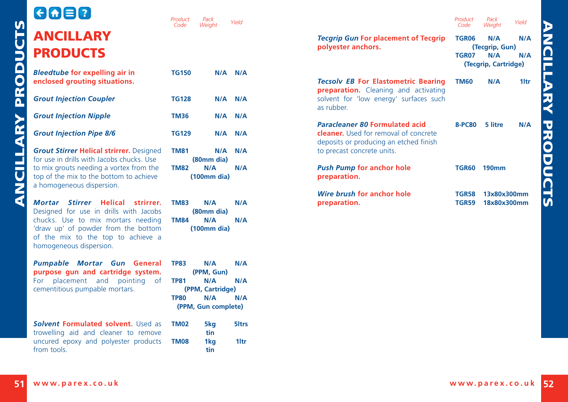*Product Code*

| -d |                |                     |                   |
|----|----------------|---------------------|-------------------|
| al | <b>TP83</b>    | N/A                 | N/A               |
| n. |                | (PPM, Gun)          |                   |
| эf | <b>TP81</b>    | N/A                 | N/A               |
|    |                | (PPM, Cartridge)    |                   |
|    | <b>TP80</b>    | N/A                 | N/A               |
|    |                | (PPM, Gun complete) |                   |
|    | as <b>TM02</b> | 5kg                 | 5 <sub>ltrs</sub> |
| /e |                | tin                 |                   |

<span id="page-26-0"></span>

|          |                                                                                                                                                                                                                          | Product<br>Code                           | Pack<br>Weight                                                             | Yield                                 |                                                                                                                      | Product<br>Code              | Pack<br>Yield<br>Weight                                            |
|----------|--------------------------------------------------------------------------------------------------------------------------------------------------------------------------------------------------------------------------|-------------------------------------------|----------------------------------------------------------------------------|---------------------------------------|----------------------------------------------------------------------------------------------------------------------|------------------------------|--------------------------------------------------------------------|
| PRODUCTS | <b>ANCILLARY</b><br><b>PRODUCTS</b>                                                                                                                                                                                      |                                           |                                                                            |                                       | <b>Tecgrip Gun For placement of Tecgrip</b><br>polyester anchors.                                                    | <b>TGR06</b><br>TGR07        | N/A<br>N/A<br>(Tecgrip, Gun)<br>N/A<br>N/A<br>(Tecgrip, Cartridge) |
|          | <b>Bleedtube for expelling air in</b><br>enclosed grouting situations.                                                                                                                                                   | <b>TG150</b>                              | $N/A$ $N/A$                                                                |                                       | <b>Tecsolv EB For Elastometric Bearing</b><br>preparation. Cleaning and activating                                   | <b>TM60</b>                  | N/A<br>1ltr                                                        |
|          | <b>Grout Injection Coupler</b><br><b>Grout Injection Nipple</b>                                                                                                                                                          | <b>TG128</b><br><b>TM36</b>               | $N/A$ $N/A$<br>N/A                                                         | N/A                                   | solvent for 'low energy' surfaces such<br>as rubber.<br><b>Paracleaner 80 Formulated acid</b>                        | <b>8-PC80</b>                | 5 litre<br>N/A                                                     |
|          | <b>Grout Injection Pipe 8/6</b><br><b>Grout Stirrer Helical strirrer.</b> Designed                                                                                                                                       | <b>TG129</b><br><b>TM81</b>               | $N/A$ $N/A$<br>N/A                                                         | N/A                                   | <b>cleaner.</b> Used for removal of concrete<br>deposits or producing an etched finish<br>to precast concrete units. |                              |                                                                    |
| NCILLARY | for use in drills with Jacobs chucks. Use<br>to mix grouts needing a vortex from the<br>top of the mix to the bottom to achieve<br>a homogeneous dispersion.                                                             | <b>TM82</b>                               | (80mm dia)<br>N/A<br>(100mm)                                               | N/A                                   | <b>Push Pump for anchor hole</b><br>preparation.                                                                     |                              | <b>TGR60 190mm</b>                                                 |
| ₫        | Mortar Stirrer Helical strirrer.<br>Designed for use in drills with Jacobs<br>chucks. Use to mix mortars needing<br>'draw up' of powder from the bottom<br>of the mix to the top to achieve a<br>homogeneous dispersion. | <b>TM83</b><br><b>TM84</b>                | N/A<br>(80mm dia)<br>N/A<br>(100mm)                                        | N/A<br>N/A                            | Wire brush for anchor hole<br>preparation.                                                                           | <b>TGR58</b><br><b>TGR59</b> | 13x80x300mm<br>18x80x300mm                                         |
|          | Pumpable Mortar Gun General<br>purpose qun and cartridge system.<br>For placement and pointing of<br>cementitious pumpable mortars.                                                                                      | <b>TP83</b><br><b>TP81</b><br><b>TP80</b> | N/A<br>(PPM, Gun)<br>N/A<br>(PPM, Cartridge)<br>N/A<br>(PPM, Gun complete) | N/A<br>N/A<br>N/A                     |                                                                                                                      |                              |                                                                    |
|          | Solvent Formulated solvent. Used as<br>trowelling aid and cleaner to remove<br>uncured epoxy and polyester products<br>from tools.                                                                                       | <b>TM02</b><br><b>TM08</b>                | 5kg<br>tin<br>1kg<br>tin                                                   | 5 <sub>ltrs</sub><br>1 <sub>ltr</sub> |                                                                                                                      |                              |                                                                    |
| 51       | www.parex.co.uk                                                                                                                                                                                                          |                                           |                                                                            |                                       |                                                                                                                      |                              | www.parex.co.uk                                                    |

*Pack*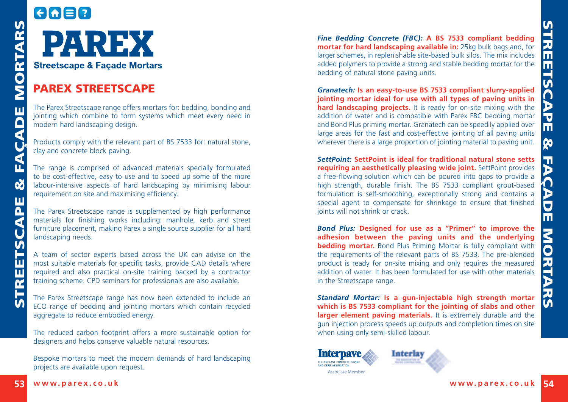

#### PAREX STREETSCAPE

The Parex Streetscape range offers mortars for: bedding, bonding and jointing which combine to form systems which meet every need in modern hard landscaping design.

Products comply with the relevant part of BS 7533 for: natural stone, clay and concrete block paving.

The range is comprised of advanced materials specially formulated to be cost-effective, easy to use and to speed up some of the more labour-intensive aspects of hard landscaping by minimising labour requirement on site and maximising efficiency.

The Parex Streetscape range is supplemented by high performance materials for finishing works including: manhole, kerb and street furniture placement, making Parex a single source supplier for all hard landscaping needs.

A team of sector experts based across the UK can advise on the most suitable materials for specific tasks, provide CAD details where required and also practical on-site training backed by a contractor training scheme. CPD seminars for professionals are also available.

The Parex Streetscape range has now been extended to include an ECO range of bedding and jointing mortars which contain recycled aggregate to reduce embodied energy.

The reduced carbon footprint offers a more sustainable option for designers and helps conserve valuable natural resources.

Bespoke mortars to meet the modern demands of hard landscaping projects are available upon request.

*[Fine Bedding Concrete](http://www.parex.co.uk/prod-link/85.aspx) (FBC):* **A BS 7533 compliant bedding mortar for hard landscaping available in:** 25kg bulk bags and, for larger schemes, in replenishable site-based bulk silos. The mix includes added polymers to provide a strong and stable bedding mortar for the bedding of natural stone paving units.

*[Granatech:](http://www.parex.co.uk/prod-link/94.aspx)* **Is an easy-to-use BS 7533 compliant slurry-applied jointing mortar ideal for use with all types of paving units in hard landscaping projects.** It is ready for on-site mixing with the addition of water and is compatible with Parex FBC bedding mortar and Bond Plus priming mortar. Granatech can be speedily applied over large areas for the fast and cost-effective jointing of all paving units wherever there is a large proportion of jointing material to paving unit.

<span id="page-27-0"></span>**53 EXECTS ARRESTS ARRESTS ARRESTS ARRESTS ARRESTS ARRESTS ARRESTS ARRESTS ARRESTS ARRESTS ARRESTS ARRESTS ARRESTS ARRESTS ARRESTS ARRESTS ARRESTS ARRESTS ARRESTS ARRESTS ARRESTS ARRESTS ARRESTS ARRESTS ARRESTS ARRESTS A** *[SettPoint](http://www.parex.co.uk/prod-link/153.aspx):* **SettPoint is ideal for traditional natural stone setts requiring an aesthetically pleasing wide joint.** SettPoint provides a free-flowing solution which can be poured into gaps to provide a high strength, durable finish. The BS 7533 compliant grout-based formulation is self-smoothing, exceptionally strong and contains a special agent to compensate for shrinkage to ensure that finished joints will not shrink or crack.

*[Bond Plus](http://www.parex.co.uk/prod-link/40.aspx):* **Designed for use as a "Primer" to improve the adhesion between the paving units and the underlying bedding mortar.** Bond Plus Priming Mortar is fully compliant with the requirements of the relevant parts of BS 7533. The pre-blended product is ready for on-site mixing and only requires the measured addition of water. It has been formulated for use with other materials in the Streetscape range.

*[Standard Mortar:](http://www.parex.co.uk/prod-link/67.aspx)* **Is a gun-injectable high strength mortar which is BS 7533 compliant for the jointing of slabs and other larger element paving materials.** It is extremely durable and the gun injection process speeds up outputs and completion times on site when using only semi-skilled labour.

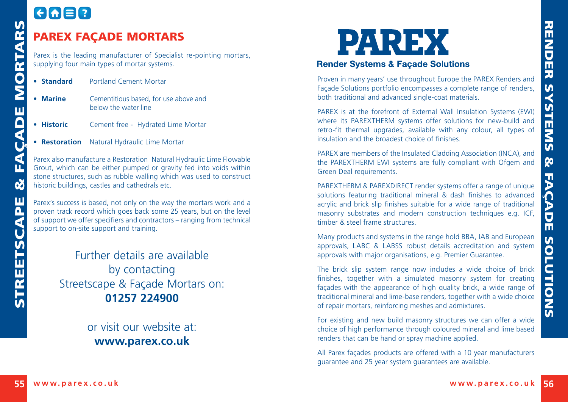# GAER

#### PAREX FAÇADE MORTARS

Parex is the leading manufacturer of Specialist re-pointing mortars, supplying four main types of mortar systems.

- **• Standard** Portland Cement Mortar
- **• Marine** Cementitious based, for use above and below the water line
- **• Historic** Cement free Hydrated Lime Mortar
- **• Restoration** Natural Hydraulic Lime Mortar

Parex also manufacture a Restoration Natural Hydraulic Lime Flowable Grout, which can be either pumped or gravity fed into voids within stone structures, such as rubble walling which was used to construct historic buildings, castles and cathedrals etc.

Parex's success is based, not only on the way the mortars work and a proven track record which goes back some 25 years, but on the level of support we offer specifiers and contractors – ranging from technical support to on-site support and training.

> Further details are available by contacting Streetscape & Façade Mortars on: **01257 224900**

> > or visit our website at: **[www.parex.co.uk](http://www.parex.co.uk)**



Proven in many years' use throughout Europe the PAREX Renders and Façade Solutions portfolio encompasses a complete range of renders, both traditional and advanced single-coat materials.

PAREX is at the forefront of External Wall Insulation Systems (EWI) where its PAREXTHERM systems offer solutions for new-build and retro-fit thermal upgrades, available with any colour, all types of insulation and the broadest choice of finishes.

PAREX are members of the Insulated Cladding Association (INCA), and the PAREXTHERM EWI systems are fully compliant with Ofgem and Green Deal requirements.

PAREXTHERM & PAREXDIRECT render systems offer a range of unique solutions featuring traditional mineral & dash finishes to advanced acrylic and brick slip finishes suitable for a wide range of traditional masonry substrates and modern construction techniques e.g. ICF, timber & steel frame structures.

Many products and systems in the range hold BBA, IAB and European approvals, LABC & LABSS robust details accreditation and system approvals with major organisations, e.g. Premier Guarantee.

<span id="page-28-0"></span>**EXAMPLE PROPERTIES**<br> **EXAMPLE AND CONTANTS CONSULTER CONTAINS CONTAINS CONTAINS CONTAINS CONTAINS CONTAINS CONTAINS CONTAINS CONTAINS CONTAINS CONTAINS CONTAINS CONTAINS CONTAINS CONTAINS CONTAINS CONTAINS CONTAINS CONTAI** The brick slip system range now includes a wide choice of brick finishes, together with a simulated masonry system for creating façades with the appearance of high quality brick, a wide range of traditional mineral and lime-base renders, together with a wide choice of repair mortars, reinforcing meshes and admixtures.

For existing and new build masonry structures we can offer a wide choice of high performance through coloured mineral and lime based renders that can be hand or spray machine applied.

All Parex façades products are offered with a 10 year manufacturers guarantee and 25 year system guarantees are available.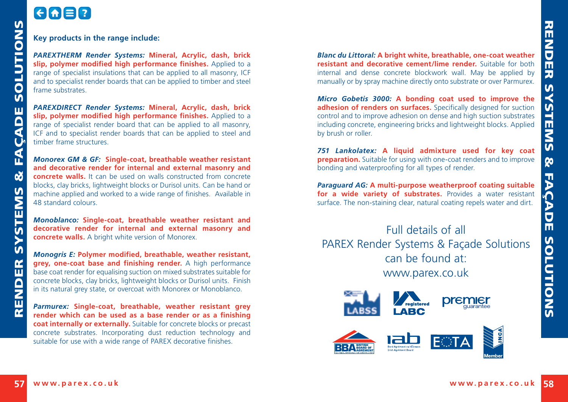## GAER

#### **Key products in the range include:**

*[PAREXTHERM Render Systems:](http://www.parex.co.uk/External_Walling_Systems/Insulated_Render_Systems)* **Mineral, Acrylic, dash, brick slip, polymer modified high performance finishes.** Applied to a range of specialist insulations that can be applied to all masonry, ICF and to specialist render boards that can be applied to timber and steel frame substrates.

*[PAREXDIRECT Render Systems](http://www.parex.co.uk/External_Walling_Systems/Non_Insulated_Render_Systems):* **Mineral, Acrylic, dash, brick slip, polymer modified high performance finishes.** Applied to a range of specialist render board that can be applied to all masonry, ICF and to specialist render boards that can be applied to steel and timber frame structures.

*[Monorex](http://www.parex.co.uk/prod-link/119.aspx) GM & GF:* **Single-coat, breathable weather resistant and decorative render for internal and external masonry and concrete walls.** It can be used on walls constructed from concrete blocks, clay bricks, lightweight blocks or Durisol units. Can be hand or machine applied and worked to a wide range of finishes. Available in 48 standard colours.

*[Monoblanco](http://www.parex.co.uk/prod-link/221.aspx):* **Single-coat, breathable weather resistant and decorative render for internal and external masonry and concrete walls.** A bright white version of Monorex.

*[Monogris E:](http://www.parex.co.uk/prod-link/240.aspx)* **Polymer modified, breathable, weather resistant, grey, one-coat base and finishing render.** A high performance base coat render for equalising suction on mixed substrates suitable for concrete blocks, clay bricks, lightweight blocks or Durisol units. Finish in its natural grey state, or overcoat with Monorex or Monoblanco.

*[Parmurex](http://www.parex.co.uk/prod-link/135.aspx):* **Single-coat, breathable, weather resistant grey render which can be used as a base render or as a finishing coat internally or externally.** Suitable for concrete blocks or precast concrete substrates. Incorporating dust reduction technology and suitable for use with a wide range of PAREX decorative finishes.

*[Blanc du Littoral:](http://www.parex.co.uk/prod-link/39.aspx)* **A bright white, breathable, one-coat weather resistant and decorative cement/lime render.** Suitable for both internal and dense concrete blockwork wall. May be applied by manually or by spray machine directly onto substrate or over Parmurex.

*[Micro Gobetis 3000](http://www.parex.co.uk/prod-link/118.aspx):* **A bonding coat used to improve the adhesion of renders on surfaces.** Specifically designed for suction control and to improve adhesion on dense and high suction substrates including concrete, engineering bricks and lightweight blocks. Applied by brush or roller.

*[751 Lankolatex](http://www.parex.co.uk/prod-link/24.aspx):* **A liquid admixture used for key coat preparation.** Suitable for using with one-coat renders and to improve bonding and waterproofing for all types of render.

*[Paraguard AG](http://www.parex.co.uk/prod-link/238.aspx):* **A multi-purpose weatherproof coating suitable**  for a wide variety of substrates. Provides a water resistant surface. The non-staining clear, natural coating repels water and dirt.

Full details of all PAREX Render Systems & Façade Solutions can be found at: www.parex.co.uk

<span id="page-29-0"></span>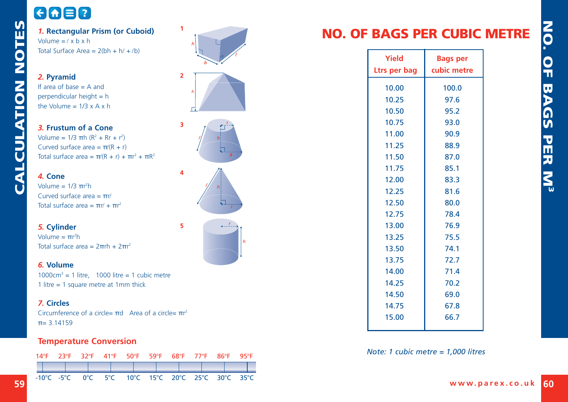## <span id="page-30-0"></span>GOED

*1.* **Rectangular Prism (or Cuboid)** Volume  $=$   $\ell$  x b x h Total Surface Area =  $2(bh + h' + b)$ 

*2.* **Pyramid** If area of base = A and perpendicular height = h the Volume =  $1/3 \times A \times h$ 

*3.* **Frustum of a Cone** Volume =  $1/3$  πh (R<sup>2</sup> + Rr + r<sup>2</sup>) Curved surface area =  $\pi/(R + r)$ Total surface area =  $π/(R + r) + πr^2 + πR^2$ 

*4.* **Cone** Volume =  $1/3$  πr<sup>2</sup>h Curved surface area  $= πr/$ Total surface area =  $πr' + πr^2$ 

*5.* **Cylinder** Volume =  $πr<sup>2</sup>h$ Total surface area =  $2πrh + 2πr<sup>2</sup>$ 

*6.* **Volume** 1000 $\text{cm}^3$  = 1 litre, 1000 litre = 1 cubic metre 1 litre = 1 square metre at 1mm thick

#### *7.* **Circles**

Circumference of a circle=  $\pi d$  Area of a circle=  $\pi r^2$  $π= 3.14159$ 

#### **Temperature Conversion**

|  |  | 14°F 23°F 32°F 41°F 50°F 59°F 68°F 77°F 86°F 95°F |  |  |  |
|--|--|---------------------------------------------------|--|--|--|
|  |  |                                                   |  |  |  |
|  |  | -10°C -5°C 0°C 5°C 10°C 15°C 20°C 25°C 30°C 35°C  |  |  |  |





 $\overline{3}$ 

 $\overline{4}$ 

 $\overline{\mathbf{S}}$ 





## NO. OF BAGS PER CUBIC METRE

| Yield<br>Ltrs per bag | <b>Bags per</b><br>cubic metre |
|-----------------------|--------------------------------|
| 10.00                 | 100.0                          |
| 10.25                 | 97.6                           |
| 10.50                 | 95.2                           |
| 10.75                 | 93.0                           |
| 11.00                 | 90.9                           |
| 11.25                 | 88.9                           |
| 11.50                 | 87.0                           |
| 11.75                 | 85.1                           |
| 12.00                 | 83.3                           |
| 12.25                 | 81.6                           |
| 12.50                 | 80.0                           |
| 12.75                 | 78.4                           |
| 13.00                 | 76.9                           |
| 13.25                 | 75.5                           |
| 13.50                 | 74.1                           |
| 13.75                 | 72.7                           |
| 14.00                 | 71.4                           |
| 14.25                 | 70.2                           |
| 14.50                 | 69.0                           |
| 14.75                 | 67.8                           |
| 15.00                 | 66.7                           |
|                       |                                |

#### *Note: 1 cubic metre = 1,000 litres*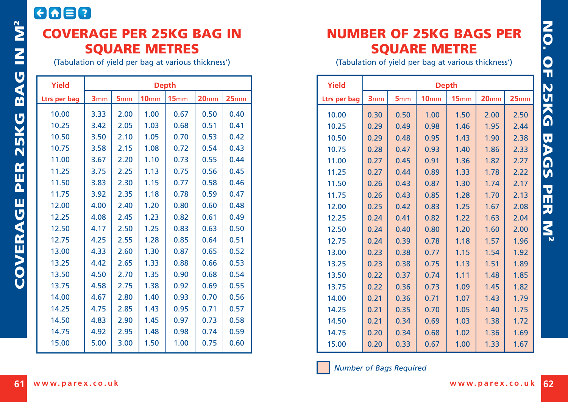## <span id="page-31-0"></span>**CAB?** COVERAGE PER 25KG BAG IN SQUARE METRES

(Tabulation of yield per bag at various thickness')

| <b>Yield</b> | <b>Depth</b> |                 |                  |      |                  |      |
|--------------|--------------|-----------------|------------------|------|------------------|------|
| Ltrs per bag | <b>3mm</b>   | 5 <sub>mm</sub> | 10 <sub>mm</sub> | 15mm | 20 <sub>mm</sub> | 25mm |
| 10.00        | 3.33         | 2.00            | 1.00             | 0.67 | 0.50             | 0.40 |
| 10.25        | 3.42         | 2.05            | 1.03             | 0.68 | 0.51             | 0.41 |
| 10.50        | 3.50         | 2.10            | 1.05             | 0.70 | 0.53             | 0.42 |
| 10.75        | 3.58         | 2.15            | 1.08             | 0.72 | 0.54             | 0.43 |
| 11.00        | 3.67         | 2.20            | 1.10             | 0.73 | 0.55             | 0.44 |
| 11.25        | 3.75         | 2.25            | 1.13             | 0.75 | 0.56             | 0.45 |
| 11.50        | 3.83         | 2.30            | 1.15             | 0.77 | 0.58             | 0.46 |
| 11.75        | 3.92         | 2.35            | 1.18             | 0.78 | 0.59             | 0.47 |
| 12.00        | 4.00         | 2.40            | 1.20             | 0.80 | 0.60             | 0.48 |
| 12.25        | 4.08         | 2.45            | 1.23             | 0.82 | 0.61             | 0.49 |
| 12.50        | 4.17         | 2.50            | 1.25             | 0.83 | 0.63             | 0.50 |
| 12.75        | 4.25         | 2.55            | 1.28             | 0.85 | 0.64             | 0.51 |
| 13.00        | 4.33         | 2.60            | 1.30             | 0.87 | 0.65             | 0.52 |
| 13.25        | 4.42         | 2.65            | 1.33             | 0.88 | 0.66             | 0.53 |
| 13.50        | 4.50         | 2.70            | 1.35             | 0.90 | 0.68             | 0.54 |
| 13.75        | 4.58         | 2.75            | 1.38             | 0.92 | 0.69             | 0.55 |
| 14.00        | 4.67         | 2.80            | 1.40             | 0.93 | 0.70             | 0.56 |
| 14.25        | 4.75         | 2.85            | 1.43             | 0.95 | 0.71             | 0.57 |
| 14.50        | 4.83         | 2.90            | 1.45             | 0.97 | 0.73             | 0.58 |
| 14.75        | 4.92         | 2.95            | 1.48             | 0.98 | 0.74             | 0.59 |
| 15.00        | 5.00         | 3.00            | 1.50             | 1.00 | 0.75             | 0.60 |

## NUMBER OF 25KG BAGS PER SQUARE METRE

(Tabulation of yield per bag at various thickness')

| Yield        | <b>Depth</b> |                 |                  |      |                  |      |  |
|--------------|--------------|-----------------|------------------|------|------------------|------|--|
| Ltrs per bag | <b>3mm</b>   | 5 <sub>mm</sub> | 10 <sub>mm</sub> | 15mm | 20 <sub>mm</sub> | 25mm |  |
| 10.00        | 0.30         | 0.50            | 1.00             | 1.50 | 2.00             | 2.50 |  |
| 10.25        | 0.29         | 0.49            | 0.98             | 1.46 | 1.95             | 2.44 |  |
| 10.50        | 0.29         | 0.48            | 0.95             | 1.43 | 1.90             | 2.38 |  |
| 10.75        | 0.28         | 0.47            | 0.93             | 1.40 | 1.86             | 2.33 |  |
| 11.00        | 0.27         | 0.45            | 0.91             | 1.36 | 1.82             | 2.27 |  |
| 11.25        | 0.27         | 0.44            | 0.89             | 1.33 | 1.78             | 2.22 |  |
| 11.50        | 0.26         | 0.43            | 0.87             | 1.30 | 1.74             | 2.17 |  |
| 11.75        | 0.26         | 0.43            | 0.85             | 1.28 | 1.70             | 2.13 |  |
| 12.00        | 0.25         | 0.42            | 0.83             | 1.25 | 1.67             | 2.08 |  |
| 12.25        | 0.24         | 0.41            | 0.82             | 1.22 | 1.63             | 2.04 |  |
| 12.50        | 0.24         | 0.40            | 0.80             | 1.20 | 1.60             | 2.00 |  |
| 12.75        | 0.24         | 0.39            | 0.78             | 1.18 | 1.57             | 1.96 |  |
| 13.00        | 0.23         | 0.38            | 0.77             | 1.15 | 1.54             | 1.92 |  |
| 13.25        | 0.23         | 0.38            | 0.75             | 1.13 | 1.51             | 1.89 |  |
| 13.50        | 0.22         | 0.37            | 0.74             | 1.11 | 1.48             | 1.85 |  |
| 13.75        | 0.22         | 0.36            | 0.73             | 1.09 | 1.45             | 1.82 |  |
| 14.00        | 0.21         | 0.36            | 0.71             | 1.07 | 1.43             | 1.79 |  |
| 14.25        | 0.21         | 0.35            | 0.70             | 1.05 | 1.40             | 1.75 |  |
| 14.50        | 0.21         | 0.34            | 0.69             | 1.03 | 1.38             | 1.72 |  |
| 14.75        | 0.20         | 0.34            | 0.68             | 1.02 | 1.36             | 1.69 |  |
| 15.00        | 0.20         | 0.33            | 0.67             | 1.00 | 1.33             | 1.67 |  |

*Number of Bags Required*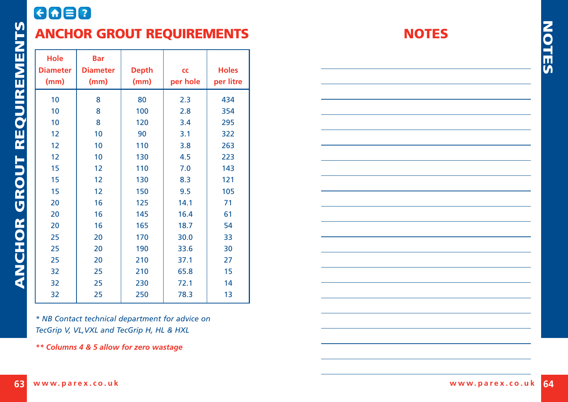## <span id="page-32-0"></span>8088 ANCHOR GROUT REQUIREMENTS

| Hole<br><b>Diameter</b><br>(mm) | <b>Bar</b><br><b>Diameter</b><br>(mm) | <b>Depth</b><br>(mm) | CC<br>per hole | <b>Holes</b><br>per litre |
|---------------------------------|---------------------------------------|----------------------|----------------|---------------------------|
| 10                              | 8                                     | 80                   | 2.3            | 434                       |
| 10                              | 8                                     | 100                  | 2.8            | 354                       |
| 10                              | 8                                     | 120                  | 3.4            | 295                       |
| 12                              | 10                                    | 90                   | 3.1            | 322                       |
| 12                              | 10                                    | 110                  | 3.8            | 263                       |
| 12                              | 10                                    | 130                  | 4.5            | 223                       |
| 15                              | 12                                    | 110                  | 7.0            | 143                       |
| 15                              | 12                                    | 130                  | 8.3            | 121                       |
| 15                              | 12                                    | 150                  | 9.5            | 105                       |
| 20                              | 16                                    | 125                  | 14.1           | 71                        |
| 20                              | 16                                    | 145                  | 16.4           | 61                        |
| 20                              | 16                                    | 165                  | 18.7           | 54                        |
| 25                              | 20                                    | 170                  | 30.0           | 33                        |
| 25                              | 20                                    | 190                  | 33.6           | 30                        |
| 25                              | 20                                    | 210                  | 37.1           | 27                        |
| 32                              | 25                                    | 210                  | 65.8           | 15                        |
| 32                              | 25                                    | 230                  | 72.1           | 14                        |
| 32                              | 25                                    | 250                  | 78.3           | 13                        |

*\* NB Contact technical department for advice on TecGrip V, VL,VXL and TecGrip H, HL & HXL*

*\*\* Columns 4 & 5 allow for zero wastage*

#### **NOTES**

NOTES

**NOTES**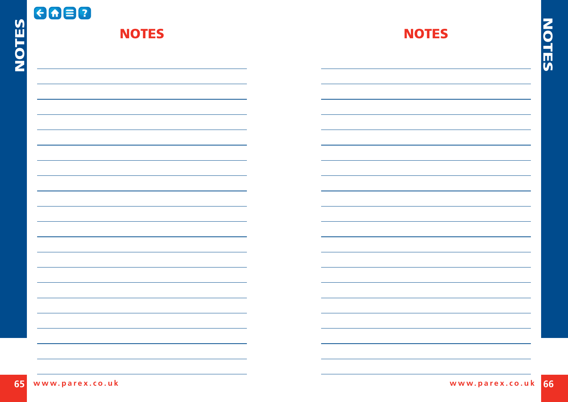| $\overline{5}$ | 6088<br><b>NOTES</b> | <b>NOTES</b> | Ź        |
|----------------|----------------------|--------------|----------|
| O<br>Z         |                      |              | <u>။</u> |
|                |                      |              |          |
|                |                      |              |          |
|                |                      |              |          |
|                |                      |              |          |
|                |                      |              |          |
|                |                      |              |          |
|                |                      |              |          |
|                |                      |              |          |
|                |                      |              |          |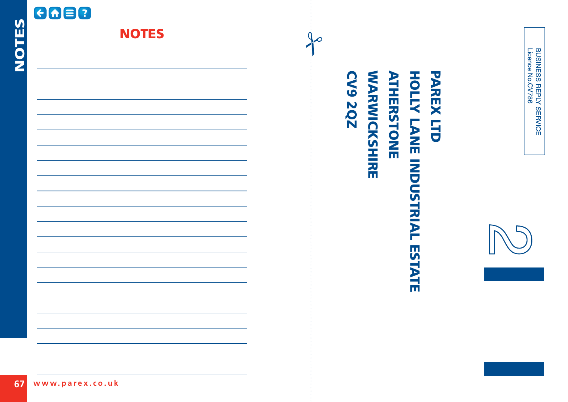| <b>GGB0</b><br>NOTES  | <b>NOTES</b> | ╱ |                                                                  |                                            |
|-----------------------|--------------|---|------------------------------------------------------------------|--------------------------------------------|
|                       |              |   |                                                                  | BUSINESS REPLY SERVICE<br>Licence No.CV786 |
|                       |              |   | <b>WARWICKSHIRE</b><br>PAREX LTD<br>CV9 2QZ<br><b>ATHERSTONE</b> |                                            |
|                       |              |   | <b>HOLLY LANE INDUSTRIAL</b>                                     |                                            |
|                       |              |   |                                                                  |                                            |
|                       |              |   | ESTATE                                                           |                                            |
|                       |              |   |                                                                  |                                            |
|                       |              |   |                                                                  |                                            |
| 67<br>www.parex.co.uk |              |   |                                                                  |                                            |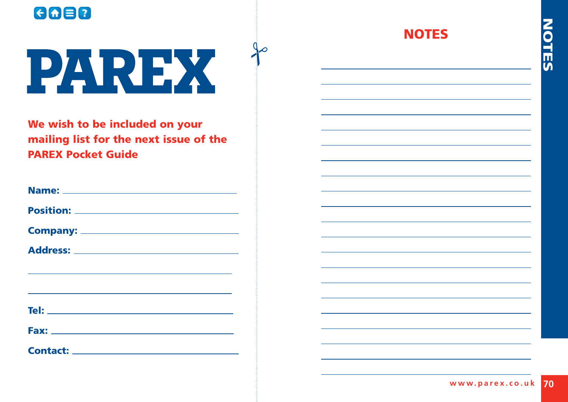

# PAREX

We wish to be included on your mailing list for the next issue of the PAREX Pocket Guide

| <b>Name:</b> |  |
|--------------|--|
|              |  |

Position: **Provide a contract of the contract of the contract of the contract of the contract of the contract of the contract of the contract of the contract of the contract of the contract of the contract of the contract** 

| <b>Company:</b> |  |
|-----------------|--|
|                 |  |

| Address: |  |
|----------|--|
|          |  |

| Tel:        |  |  |  |  |
|-------------|--|--|--|--|
|             |  |  |  |  |
| <b>Fax:</b> |  |  |  |  |

| <b>Contact:</b> |  |
|-----------------|--|
|                 |  |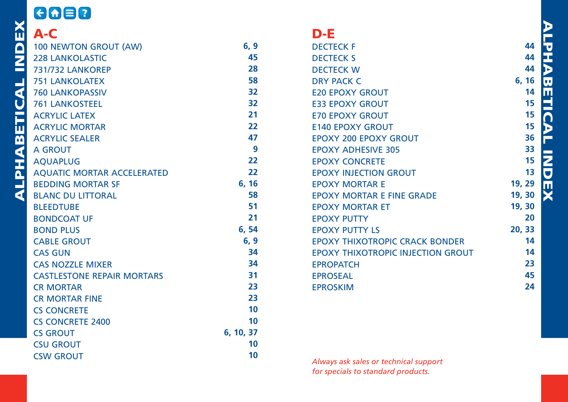<span id="page-36-0"></span>

|                         | <b>ADER</b>                       |           |                                          |  |  |
|-------------------------|-----------------------------------|-----------|------------------------------------------|--|--|
| ⋒                       | A-C                               |           | $D-E$                                    |  |  |
| $\overline{\mathsf{D}}$ | <b>100 NEWTON GROUT (AW)</b>      | 6, 9      | <b>DECTECK F</b>                         |  |  |
| 2                       | <b>228 LANKOLASTIC</b>            | 45        | <b>DECTECK S</b>                         |  |  |
| ᆖ                       | <b>731/732 LANKOREP</b>           | 28        | <b>DECTECK W</b>                         |  |  |
| پ                       | <b>751 LANKOLATEX</b>             | 58        | <b>DRY PACK C</b>                        |  |  |
| ◀                       | <b>760 LANKOPASSIV</b>            | 32        | <b>E20 EPOXY GROUT</b>                   |  |  |
| Ù                       | <b>761 LANKOSTEEL</b>             | 32        | <b>E33 EPOXY GROUT</b>                   |  |  |
| Ĕ                       | <b>ACRYLIC LATEX</b>              | 21        | <b>E70 EPOXY GROUT</b>                   |  |  |
| 5                       | <b>ACRYLIC MORTAR</b>             | 22        | <b>E140 EPOXY GROUT</b>                  |  |  |
| $\overline{\mathbf{b}}$ | <b>ACRYLIC SEALER</b>             | 47        | <b>EPOXY 200 EPOXY GROUT</b>             |  |  |
|                         | A GROUT                           | 9         | <b>EPOXY ADHESIVE 305</b>                |  |  |
|                         | <b>AQUAPLUG</b>                   | 22        | <b>EPOXY CONCRETE</b>                    |  |  |
| AHAI                    | <b>AQUATIC MORTAR ACCELERATED</b> | 22        | <b>EPOXY INJECTION GROUT</b>             |  |  |
| 크                       | <b>BEDDING MORTAR SF</b>          | 6, 16     | <b>EPOXY MORTAR E</b>                    |  |  |
| ∢                       | <b>BLANC DU LITTORAL</b>          | 58        | <b>EPOXY MORTAR E FINE GRADE</b>         |  |  |
|                         | <b>BLEEDTUBE</b>                  | 51        | <b>EPOXY MORTAR ET</b>                   |  |  |
|                         | <b>BONDCOAT UF</b>                | 21        | <b>EPOXY PUTTY</b>                       |  |  |
|                         | <b>BOND PLUS</b>                  | 6, 54     | <b>EPOXY PUTTY LS</b>                    |  |  |
|                         | <b>CABLE GROUT</b>                | 6, 9      | <b>EPOXY THIXOTROPIC CRACK BONDER</b>    |  |  |
|                         | <b>CAS GUN</b>                    | 34        | <b>EPOXY THIXOTROPIC INJECTION GROUT</b> |  |  |
|                         | <b>CAS NOZZLE MIXER</b>           | 34        | <b>EPROPATCH</b>                         |  |  |
|                         | <b>CASTLESTONE REPAIR MORTARS</b> | 31        | <b>EPROSEAL</b>                          |  |  |
|                         | <b>CR MORTAR</b>                  | 23        | <b>EPROSKIM</b>                          |  |  |
|                         | <b>CR MORTAR FINE</b>             | 23        |                                          |  |  |
|                         | <b>CS CONCRETE</b>                | 10        |                                          |  |  |
|                         | <b>CS CONCRETE 2400</b>           | 10        |                                          |  |  |
|                         | <b>CS GROUT</b>                   | 6, 10, 37 |                                          |  |  |
|                         | <b>CSU GROUT</b>                  | 10        |                                          |  |  |
|                         | <b>CSW GROUT</b>                  | 10        |                                          |  |  |

----

*Always ask sales or technical support for specials to standard products.*

ALPHABETICAL INDEX PHABETICA F **INDEX**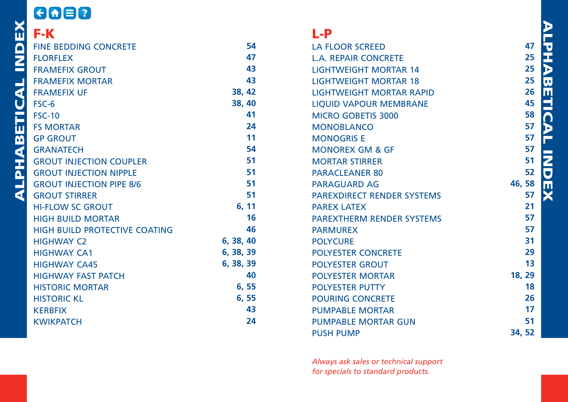| $G \cap B$                                                                                                                                                                                                                                                      |           |
|-----------------------------------------------------------------------------------------------------------------------------------------------------------------------------------------------------------------------------------------------------------------|-----------|
| <b>ENTRANET SEED AND THE SED OF LORFLEX</b><br>FRAMEFIX GROUT<br>FRAMEFIX MORTAR<br>FRAMEFIX UF<br>FRAMEFIX UF<br>FRAMEFIX UF<br>FRAMEFIX UF<br>FRAMEFIX UF<br>FRAMEFIX UF<br>FRAMATECH<br>GROUT INJEC<br>GROUT INJEC<br>GROUT INJEC<br>GROUT INJEC<br>GROUT IN |           |
| <b>FINE BEDDING CONCRETE</b>                                                                                                                                                                                                                                    | 54        |
|                                                                                                                                                                                                                                                                 | 47        |
|                                                                                                                                                                                                                                                                 | 43        |
|                                                                                                                                                                                                                                                                 | 43        |
|                                                                                                                                                                                                                                                                 | 38, 42    |
|                                                                                                                                                                                                                                                                 | 38, 40    |
|                                                                                                                                                                                                                                                                 | 41        |
|                                                                                                                                                                                                                                                                 | 24        |
|                                                                                                                                                                                                                                                                 | 11        |
|                                                                                                                                                                                                                                                                 | 54        |
| <b>GROUT INJECTION COUPLER</b>                                                                                                                                                                                                                                  | 51        |
| <b>GROUT INJECTION NIPPLE</b>                                                                                                                                                                                                                                   | 51        |
| <b>GROUT INJECTION PIPE 8/6</b>                                                                                                                                                                                                                                 | 51        |
|                                                                                                                                                                                                                                                                 | 51        |
|                                                                                                                                                                                                                                                                 | 6, 11     |
| <b>HIGH BUILD MORTAR</b>                                                                                                                                                                                                                                        | 16        |
| HIGH BUILD PROTECTIVE COATING                                                                                                                                                                                                                                   | 46        |
| <b>HIGHWAY C2</b>                                                                                                                                                                                                                                               | 6, 38, 40 |
| <b>HIGHWAY CA1</b>                                                                                                                                                                                                                                              | 6, 38, 39 |
| <b>HIGHWAY CA45</b>                                                                                                                                                                                                                                             | 6, 38, 39 |
| <b>HIGHWAY FAST PATCH</b>                                                                                                                                                                                                                                       | 40        |
| <b>HISTORIC MORTAR</b>                                                                                                                                                                                                                                          | 6,55      |
| <b>HISTORIC KL</b>                                                                                                                                                                                                                                              | 6,55      |
| <b>KERBFIX</b>                                                                                                                                                                                                                                                  | 43        |
| <b>KWIKPATCH</b>                                                                                                                                                                                                                                                | 24        |

#### L-P

| <b>LA FLOOR SCREED</b>            |
|-----------------------------------|
| <b>L.A. REPAIR CONCRETE</b>       |
| <b>LIGHTWEIGHT MORTAR 14</b>      |
| <b>LIGHTWEIGHT MORTAR 18</b>      |
| <b>LIGHTWEIGHT MORTAR RAPID</b>   |
| <b>LIOUID VAPOUR MEMBRANE</b>     |
| <b>MICRO GOBETIS 3000</b>         |
| <b>MONOBLANCO</b>                 |
| <b>MONOGRIS E</b>                 |
| <b>MONOREX GM &amp; GF</b>        |
| <b>MORTAR STIRRER</b>             |
| <b>PARACLEANER 80</b>             |
| <b>PARAGUARD AG</b>               |
| <b>PAREXDIRECT RENDER SYSTEMS</b> |
| <b>PAREX LATEX</b>                |
| <b>PAREXTHERM RENDER SYSTEMS</b>  |
| <b>PARMUREX</b>                   |
| <b>POLYCURE</b>                   |
| <b>POLYESTER CONCRETE</b>         |
| <b>POLYESTER GROUT</b>            |
| <b>POLYESTER MORTAR</b>           |
| <b>POLYESTER PUTTY</b>            |
| POURING CONCRETE                  |
| <b>PUMPABLE MORTAR</b>            |
| <b>PUMPABLE MORTAR GUN</b>        |
| <b>PUSH PUMP</b>                  |
|                                   |

*Always ask sales or technical support for specials to standard products.*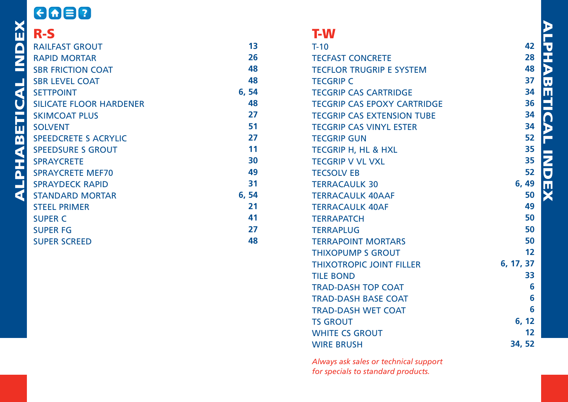#### 8088 **R-S<br>
RALLEY RAPID<br>
RAPID SBR FE SBR FE SETTP(SILICAL SKIMC SPEED SPEED SPRAY SPRAY STAND** [RAILFAST GROUT](#page-7-0) **13** [RAPID MORTAR](#page-13-0) **26 48** [SBR FRICTION COAT](#page-24-0) **48** [SBR LEVEL COAT](#page-24-0) [SETTPOINT](#page-27-0) **6, 54** [SILICATE FLOOR HARDENER](#page-24-0) **48** [SKIMCOAT PLUS](#page-14-0)  **27 51** [SOLVENT](#page-26-0) [SPEEDCRETE S ACRYLIC](#page-14-0) **27** [SPEEDSURE S GROUT](#page-6-0) **11** [SPRAYCRETE](#page-15-0) **30** [SPRAYCRETE MEF70](#page-25-0) **49** [SPRAYDECK RAPID](#page-16-0) **31** [STANDARD MORTAR](#page-27-0) **6, 54** [STEEL PRIMER](#page-11-0)  **21** [SUPER C](#page-21-0) **41** [SUPER FG](#page-14-0) **27**

[SUPER SCREED](#page-24-0)

# T-W

**48**

| $T-10$                             |
|------------------------------------|
| <b>TECFAST CONCRETE</b>            |
| <b>TECFLOR TRUGRIP E SYSTEM</b>    |
| <b>TECGRIP C</b>                   |
| <b>TECGRIP CAS CARTRIDGE</b>       |
| <b>TECGRIP CAS EPOXY CARTRIDGE</b> |
| <b>TECGRIP CAS EXTENSION TUBE</b>  |
| <b>TECGRIP CAS VINYL ESTER</b>     |
| <b>TECGRIP GUN</b>                 |
| <b>TECGRIP H. HL &amp; HXL</b>     |
| <b>TECGRIP V VL VXL</b>            |
| <b>TECSOLV EB</b>                  |
| <b>TERRACAULK 30</b>               |
| <b>TERRACAULK 40AAF</b>            |
| <b>TERRACAULK 40AF</b>             |
| <b>TERRAPATCH</b>                  |
| <b>TERRAPLUG</b>                   |
| <b>TERRAPOINT MORTARS</b>          |
| <b>THIXOPUMP S GROUT</b>           |
| <b>THIXOTROPIC JOINT FILLER</b>    |
| <b>TILE BOND</b>                   |
| <b>TRAD-DASH TOP COAT</b>          |
| <b>TRAD-DASH BASE COAT</b>         |
| <b>TRAD-DASH WET COAT</b>          |
| <b>TS GROUT</b>                    |
| <b>WHITE CS GROUT</b>              |
| <b>WIRE BRUSH</b>                  |
|                                    |

*Always ask sales or technical support for specials to standard products.*

ALPHABETICAL INDEX **PHA BETIC** Ъ E **NDE** ×